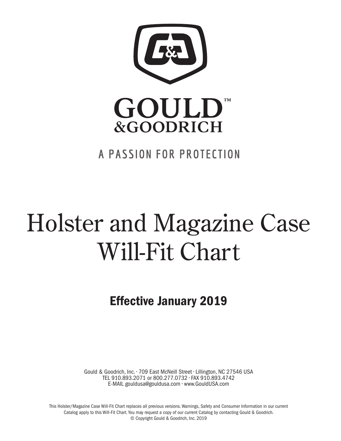

## A PASSION FOR PROTECTION

# Holster and Magazine Case Will-Fit Chart

Effective January 2019

Gould & Goodrich, Inc. • 709 East McNeill Street • Lillington, NC 27546 USA TEL 910.893.2071 or 800.277.0732 • FAX 910.893.4742 E-MAIL gouldusa@gouldusa.com • www.GouldUSA.com

This Holster/Magazine Case Will-Fit Chart replaces all previous versions. Warnings, Safety and Consumer Information in our current Catalog apply to this Will-Fit Chart. You may request a copy of our current Catalog by contacting Gould & Goodrich. © Copyright Gould & Goodrich, Inc. 2019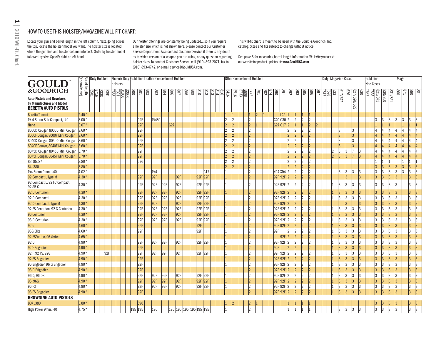## HOW TO USE THIS HOLSTER/MAGAZINE WILL-FIT CHART:

Locate your gun and barrel length in the left column. Next, going across the top, locate the holster model you want. The holster size is located where the gun line and holster column intersect. Order by holster model followed by size. Specify right or left-hand.

Our holster offerings are constantly being updated... so if you require a holster size which is not shown here, please contact our Customer Service Department. Also contact Customer Service if there is any doubt as to which version of a weapon you are using, or any question regarding holster sizes. To contact Customer Service, call (910) 893-2071, fax to (910) 893-4742, or e-mail service@GouldUSA.com.

This will-fit chart is meant to be used with the Gould & Goodrich, Inc. catalog. Sizes and fits subject to change without notice.

See page 8 for measuring barrel length information. We invite you to visit our website for product updates at: www.GouldUSA.com.

| <b>GOULD</b>                                                                                               | Barrel Length<br>(approximate) | <b>Duty Holsters</b> |      | <b>Holsters</b> |       |               |     | Phoenix Duty Gold Line Leather Concealment Holsters |            |                 |                         |              |     |                |     |                   |                | <b>Other Concealment Holsters</b> |                |    |                |                 |                         |             |                |               |                           |                                        |    |         | Duty Magazine Cases |             |             |   | Gold Line<br>zine Cases |         |         | Maga- |                  |                |     |
|------------------------------------------------------------------------------------------------------------|--------------------------------|----------------------|------|-----------------|-------|---------------|-----|-----------------------------------------------------|------------|-----------------|-------------------------|--------------|-----|----------------|-----|-------------------|----------------|-----------------------------------|----------------|----|----------------|-----------------|-------------------------|-------------|----------------|---------------|---------------------------|----------------------------------------|----|---------|---------------------|-------------|-------------|---|-------------------------|---------|---------|-------|------------------|----------------|-----|
| &GOODRICH<br><b>Auto-Pistols and Revolvers</b><br>by Manufacturer and Model<br><b>BERETTA AUTO PISTOLS</b> |                                | <b>EEE</b>           | K391 | 명의<br>  명의      | 000LX | $\frac{1}{2}$ |     | 802<br>803                                          | <b>PO8</b> | $\frac{80}{6}$  |                         | $rac{8}{80}$ |     | $\frac{3}{25}$ |     | $\frac{812}{813}$ | 9118           |                                   | <b>T27</b>     | lg | $rac{17}{202}$ | $ \mathscr{E} $ | 168                     | 892         | $\frac{88}{3}$ | ခြွ           | $\sqrt{968}$              | <b>BSS</b><br><b>BSS</b><br><b>BSS</b> | జె | 617/647 | 92                  | 627/628/629 | ခြ          | 뗿 | 1821/841                | 098/088 | 831/851 | 098   | $\overline{128}$ | $\frac{18}{8}$ |     |
| <b>Beretta Tomcat</b>                                                                                      | 2.40"                          |                      |      |                 |       |               |     |                                                     |            |                 |                         |              |     |                |     |                   |                |                                   |                | 2  |                |                 | LCP 1                   |             |                | $\vert$ 1     |                           |                                        |    |         |                     |             |             |   |                         |         |         |       |                  |                |     |
| PX 4 Storm Sub Compact, .40                                                                                | 3.00                           |                      |      |                 |       |               | 92F | PX4SC                                               |            |                 |                         |              |     |                |     |                   | $\overline{2}$ |                                   | l2             |    |                |                 | $C40$ G <sub>30</sub> 2 |             |                | 2             | $\overline{2}$            |                                        |    |         |                     |             |             |   |                         |         |         |       |                  |                |     |
| Nano                                                                                                       | 3.07                           |                      |      |                 |       |               | 92F |                                                     |            | G <sub>27</sub> |                         |              |     |                |     |                   | 2              |                                   | l2             |    |                |                 | G27G172                 |             |                |               | 2                         |                                        |    |         |                     |             |             |   |                         |         |         |       |                  |                |     |
| 8000D Cougar, 8000D Mini Cougar                                                                            | 3.60                           |                      |      |                 |       |               | 92F |                                                     |            |                 |                         |              |     |                |     |                   | 12             |                                   | l2             |    |                |                 |                         | 12          |                | $\mathcal{D}$ | 2                         |                                        |    |         |                     |             |             |   |                         |         |         |       |                  |                |     |
| 8000F Cougar, 8000F Mini Cougar                                                                            | 3.60                           |                      |      |                 |       |               | 92F |                                                     |            |                 |                         |              |     |                |     |                   | $\overline{2}$ |                                   | $\overline{2}$ |    |                |                 |                         | 2           |                | 2             | $\overline{2}$            |                                        |    | 3       |                     |             |             |   |                         |         |         |       |                  |                |     |
| 8040D Cougar, 8040D Mini Cougar                                                                            | 3.60                           |                      |      |                 |       |               | 92F |                                                     |            |                 |                         |              |     |                |     |                   |                |                                   | $\overline{2}$ |    |                |                 |                         | 2           |                | 2             | $\overline{2}$            |                                        |    |         |                     | 3           |             |   |                         |         |         |       |                  |                |     |
| 8040F Cougar, 8040F Mini Cougar                                                                            | 3.60                           |                      |      |                 |       |               | 92F |                                                     |            |                 |                         |              |     |                |     |                   | $\overline{2}$ |                                   | l2             |    |                |                 |                         | 2           |                | 2             | $\overline{2}$            |                                        |    |         |                     |             |             |   |                         |         |         |       |                  |                |     |
| 8045D Cougar, 8045D Mini Cougar                                                                            | $3.70$ "                       |                      |      |                 |       |               | 92F |                                                     |            |                 |                         |              |     |                |     |                   | $\overline{2}$ |                                   | l2             |    |                |                 |                         | 2           |                | 2             | $\overline{2}$            |                                        | 2  | 13      | 13                  |             | 13          |   |                         |         |         |       |                  |                |     |
| 8045F Cougar, 8045F Mini Cougar                                                                            | 3.70                           |                      |      |                 |       |               | 92F |                                                     |            |                 |                         |              |     |                |     |                   | $\overline{2}$ |                                   | l2             |    |                |                 |                         |             |                | 2             | $\overline{2}$            |                                        | 2  | 3       | l3                  |             | $ 3\rangle$ |   |                         |         |         |       |                  |                |     |
| 83, 85, 87                                                                                                 | 3.80                           |                      |      |                 |       |               | 696 |                                                     |            |                 |                         |              |     |                |     |                   |                |                                   | I2             |    |                |                 |                         | 2           |                | 12            | 2                         |                                        |    |         |                     |             |             |   |                         |         |         |       |                  |                |     |
| 84.380                                                                                                     | 3.80                           |                      |      |                 |       |               |     |                                                     |            |                 |                         |              |     |                |     |                   | l2             |                                   | $\overline{2}$ |    |                |                 |                         | 2           |                | 2             | $\overline{2}$            |                                        |    |         |                     |             |             |   |                         |         |         |       |                  | 3              |     |
| Px4 Storm 9mm., .40                                                                                        | 4.02 "                         |                      |      |                 |       |               |     | PX4                                                 |            |                 |                         |              |     |                | G17 |                   |                |                                   | I2             |    |                |                 | XD4 XD4                 | 2           |                | 2             | $\overline{2}$            |                                        |    |         | 13                  |             | l3          |   | 13                      | Β.      |         | l3    |                  | 13             |     |
| 92 Compact L Type M                                                                                        | 4.30                           |                      |      |                 |       |               | 92F | 92F                                                 |            |                 | 92F                     |              |     | 92F 92F        |     |                   |                |                                   | b              |    |                |                 | 92F 92F                 | 2           | l2             | $\vert$ 2     | 2                         |                                        |    |         | l3                  |             | 3           |   | 13                      | l3      | l3      | 3     |                  | $ 3\rangle$    | l3. |
| 92 Compact L, 92 FC Compact,<br>92 SB-C                                                                    | 4.30 "                         |                      |      |                 |       |               | 92F | 92F                                                 | 92F        |                 | 92F                     |              |     | 92F 92F        |     |                   |                |                                   |                |    |                |                 | 92F 92F                 | 2           |                | 2             | $\overline{\mathfrak{D}}$ |                                        |    | 13      | l3                  |             | l3          |   | 13                      |         |         |       |                  | lз             |     |
| 92 D Centurion                                                                                             | 4.30                           |                      |      |                 |       |               | 92F | 92F                                                 | 92F        |                 | 92F                     |              |     | 92F 92F        |     |                   |                |                                   |                |    |                |                 | 92F 92F                 | 2           |                | 2             | $\overline{2}$            |                                        |    |         | 3                   |             | 3           |   |                         |         |         |       |                  | 13             |     |
| 92 D Compact L                                                                                             | 4.30                           |                      |      |                 |       |               | 92F | 92F                                                 | 92F        |                 | 92F                     |              |     | 92F 92F        |     |                   |                |                                   | l2             |    |                |                 | 92F 92F                 | $ 2\rangle$ |                | 2             | $\overline{2}$            |                                        |    |         | 13                  |             | 3           |   |                         |         |         | l3    |                  | lЗ             |     |
| 92 D Compact L Type M                                                                                      | 4.30 "                         |                      |      |                 |       |               | 92F | 92F                                                 |            |                 | 92F                     |              |     | 92F 92F        |     |                   |                |                                   | l2             |    |                |                 | 92F 92F                 | 12          |                | 2             | 2                         |                                        |    |         |                     |             | 13          |   |                         |         |         | l3    |                  | 3              |     |
| 92 FS Centurion, 92 G Centurion                                                                            | 4.30 "                         |                      |      |                 |       |               | 92F | 92F                                                 | 92F        |                 | 92F                     |              |     | 92F 92F        |     |                   |                |                                   |                |    |                |                 | 92F 92F                 | 2           |                | 2             | 2                         |                                        |    |         |                     |             | l3          |   |                         |         |         |       |                  | 3              |     |
| 96 Centurion                                                                                               | 4.30 "                         |                      |      |                 |       |               | 92F | 92F                                                 | 92F        |                 | 92F                     |              |     | 92F<br>92F     |     |                   |                |                                   | I٥             |    |                |                 | 92F 92F                 | 12          |                | 2             | 2                         |                                        |    |         | ß                   |             | 3           |   |                         |         |         |       |                  | 3              |     |
| 96 D Centurion                                                                                             | 4.30                           |                      |      |                 |       |               | 92F | 92F                                                 | 92F        |                 | 92F                     |              |     | 92F 92F        |     |                   |                |                                   | l2             |    |                |                 | 92F 92F                 | 2           |                | 2             | $\overline{2}$            |                                        |    |         | 3                   |             | 3           |   |                         |         |         | l3    |                  | 3              |     |
| 92G                                                                                                        | 4.60 "                         |                      |      |                 |       |               | 92F |                                                     |            |                 |                         |              |     | 92F            |     |                   |                |                                   | l2             |    |                |                 | 92F 92F                 | 12          |                | $\mathcal{D}$ | $\overline{2}$            |                                        |    |         |                     |             | 13          |   |                         |         |         |       |                  | 3              |     |
| 96G Elite                                                                                                  | 4.60                           |                      |      |                 |       |               | 92F |                                                     |            |                 |                         |              | 92F |                |     |                   |                |                                   | l?             |    |                | 92F             |                         | 2           |                | $\mathcal{D}$ | 2                         |                                        |    |         |                     |             | 3           |   |                         |         |         |       |                  | 3              |     |
| 92 FS Vertec, 96 Vertec                                                                                    | 4.65 "                         |                      |      |                 |       |               |     |                                                     |            |                 |                         |              |     |                |     |                   |                |                                   | l2             |    |                |                 | 92F                     | 2           |                | 2             | 2                         |                                        |    |         | ß                   |             | 3           |   |                         |         |         | 3     |                  | 13             |     |
| 92 D                                                                                                       | 4.90                           |                      |      |                 |       |               | 92F | 92F                                                 | 92F        |                 | 92F                     |              |     | 92F 92F        |     |                   |                |                                   | ١C             |    |                |                 | 92F 92F                 | 2           |                | $\vert$       | $\overline{2}$            |                                        |    |         | ß                   |             | 3           |   |                         |         |         | l3    |                  | 3              |     |
| 92D Brigadier                                                                                              | 4.90                           |                      |      |                 |       |               | 92F |                                                     |            |                 |                         |              |     |                |     |                   |                |                                   | l2             |    |                | 92F             |                         | 2           |                | 2             | 2                         |                                        |    |         | ß                   |             | 3           |   |                         |         |         |       |                  | 13             |     |
| 92 F, 92 FS, 92G                                                                                           | 4.90                           |                      | 92F  |                 |       |               | 92F | 92F                                                 | 92F        |                 | 92F                     |              |     | 92F 92F        |     |                   |                |                                   | l2             |    |                |                 | 92F 92F                 | 2           |                | $\vert$       | $\overline{\mathfrak{D}}$ |                                        |    |         |                     |             | l3          |   |                         |         |         |       |                  | ß              |     |
| 92 FS Brigadier                                                                                            | 4.90 "                         |                      |      |                 |       |               | 92F |                                                     |            |                 |                         |              |     |                |     |                   |                |                                   | l2             |    |                |                 | 92F 92F                 | 12          |                | 2             | 2                         |                                        |    |         | ß                   |             | 3           |   |                         |         |         |       |                  | 3              |     |
| 96 Brigadier, 96 G Brigadier                                                                               | 4.90                           |                      |      |                 |       |               | 92F |                                                     |            |                 |                         |              |     |                |     |                   |                |                                   | l2             |    |                |                 | 92F 92F                 | 2           |                | 2             | $\overline{2}$            |                                        |    |         | 3                   |             | 3           |   |                         |         |         | 3     |                  | 3              |     |
| 96 D Brigadier                                                                                             | 4.90                           |                      |      |                 |       |               | 92F |                                                     |            |                 |                         |              |     |                |     |                   |                |                                   | l2             |    |                |                 | 92F 92F                 | 12          |                | 2             | 2                         |                                        |    |         |                     |             | 3           |   |                         |         |         |       |                  | 13             |     |
| 96 D, 96 DS                                                                                                | 4.90                           |                      |      |                 |       |               | 92F | 92F                                                 | 92F        |                 | 92F                     |              |     | 92F<br>92F     |     |                   |                |                                   |                |    |                |                 | 92F 92F                 | 12          |                | 2             | $\overline{2}$            |                                        |    |         | 3                   |             | l3          |   | 13                      | 3       |         |       |                  | 3              |     |
| 96, 96G                                                                                                    | 4.90                           |                      |      |                 |       |               | 92F | 92F                                                 | 92F        |                 | 92F                     |              |     | 92F            | 92F |                   |                |                                   | l2             |    |                |                 | 92F 92F                 | 2           |                | 2             | 2                         |                                        |    | 13      | 3                   |             | 3           |   |                         |         | 13      | 13    |                  | $ 3\rangle$    |     |
| 96 FS                                                                                                      | 4.90                           |                      |      |                 |       |               | 92F | 92F                                                 | 92F        |                 | 92F                     |              |     | 92F            | 92F |                   |                |                                   |                |    |                |                 | 92F 92F                 | 12          | 12             | 2             | 2                         |                                        |    |         | 3                   |             | 13          |   |                         | 3       |         | l3    |                  | lз             |     |
| 96 FS Brigadier                                                                                            | 4.90                           |                      |      |                 |       |               | 92F |                                                     |            |                 |                         |              |     |                |     |                   |                |                                   |                |    |                |                 | 92F 92F                 | 2           |                | $\mathsf{D}$  |                           |                                        |    |         |                     |             |             |   |                         |         |         |       |                  | 3              |     |
| <b>BROWNING AUTO PISTOLS</b>                                                                               |                                |                      |      |                 |       |               |     |                                                     |            |                 |                         |              |     |                |     |                   |                |                                   |                |    |                |                 |                         |             |                |               |                           |                                        |    |         |                     |             |             |   |                         |         |         |       |                  |                |     |
|                                                                                                            |                                |                      |      |                 |       |               |     |                                                     |            |                 |                         |              |     |                |     |                   |                |                                   |                |    |                |                 |                         |             |                |               |                           |                                        |    |         |                     |             |             |   |                         |         |         |       |                  |                |     |
| <b>BDA.380</b>                                                                                             | 3.80                           |                      |      |                 |       |               | 696 |                                                     |            |                 |                         |              |     |                |     |                   |                |                                   |                |    |                |                 |                         |             |                |               |                           |                                        |    |         |                     |             |             |   |                         |         |         |       |                  | 3              | 3   |
| High Power 9mm, .40                                                                                        | 4.75 "                         |                      |      |                 |       | 195 195       |     | 195                                                 |            |                 | 195 195 195 195 195 195 |              |     |                |     |                   |                |                                   |                |    |                |                 |                         |             |                |               |                           |                                        |    |         | 3                   |             |             |   | 13                      | l3      | lЗ      | 3     |                  | 3              | 3   |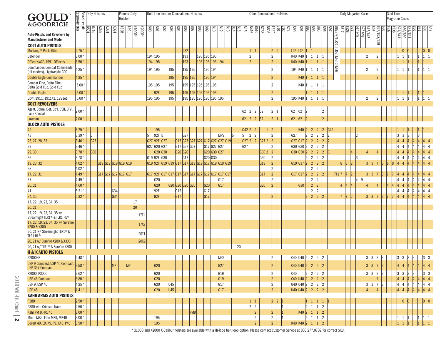|                                                                                                             |                                |             | Duty Holsters |                     |                 |             | <b>Phoenix Duty</b>     |          |         |                                    | Gold Line Leather Concealment Holsters              |             |                 |     |                              |             |                 |                                     |                  |                       |                                   | <b>Other Concealment Holsters</b> |                      |     |                             |                 |                |                                                                      |                      |                           |                      |     |             | Duty Magazine Cases |                         |                 |    |          | Gold Line             |                                       |                                    |              |                                       |                      |
|-------------------------------------------------------------------------------------------------------------|--------------------------------|-------------|---------------|---------------------|-----------------|-------------|-------------------------|----------|---------|------------------------------------|-----------------------------------------------------|-------------|-----------------|-----|------------------------------|-------------|-----------------|-------------------------------------|------------------|-----------------------|-----------------------------------|-----------------------------------|----------------------|-----|-----------------------------|-----------------|----------------|----------------------------------------------------------------------|----------------------|---------------------------|----------------------|-----|-------------|---------------------|-------------------------|-----------------|----|----------|-----------------------|---------------------------------------|------------------------------------|--------------|---------------------------------------|----------------------|
| GOULD                                                                                                       |                                |             |               |                     |                 | Holsters    |                         |          |         |                                    |                                                     |             |                 |     |                              |             |                 |                                     |                  |                       |                                   |                                   |                      |     |                             |                 |                |                                                                      |                      |                           |                      |     |             |                     |                         |                 |    |          | <b>Magazine Cases</b> |                                       |                                    |              |                                       |                      |
| &GOODRICH                                                                                                   | Barrel Length<br>(approximate) |             |               |                     |                 |             |                         |          |         |                                    |                                                     |             |                 |     |                              |             |                 |                                     |                  |                       |                                   |                                   |                      |     |                             |                 |                |                                                                      |                      |                           |                      |     |             |                     |                         |                 |    |          |                       |                                       |                                    |              |                                       |                      |
|                                                                                                             |                                | 8716        | K338          | K381                | $\frac{165}{2}$ | <b>1338</b> | $*000$ IX<br><b>Les</b> | $×2000*$ | 800     | $rac{8}{20}$                       | 803                                                 | 804         | $\frac{80}{6}$  | 108 | $\frac{8}{8}$                | 810<br>608  | 612             | 813                                 | $\frac{812}{24}$ | 816                   | B73일<br><u>B5 19</u><br>B416      | 898                               | $\overline{121}$     | ΙÖ. | $\frac{8}{2}$               | <b>591</b>      |                | $ \widetilde{\mathrm{g}} \widetilde{\mathrm{g}} $                    | ၆။                   | /68                       | B873 w/TLR-1, TLR-2, | 829 | జ           |                     |                         |                 | lg |          | ္လွ                   |                                       | 337/851                            | žІ<br>ဒါ     | $\frac{88}{880}$                      |                      |
| <b>Auto-Pistols and Revolvers by</b>                                                                        |                                |             |               |                     |                 |             |                         |          |         |                                    |                                                     |             |                 |     |                              |             |                 |                                     |                  |                       |                                   |                                   |                      |     |                             |                 |                |                                                                      |                      |                           |                      |     |             | l≣                  | $\frac{\sqrt{647}}{10}$ | $\sqrt{829}$    |    |          | 21/841                | 8                                     |                                    |              |                                       |                      |
| <b>Manufacturer and Model</b>                                                                               |                                |             |               |                     |                 |             |                         |          |         |                                    |                                                     |             |                 |     |                              |             |                 |                                     |                  |                       |                                   |                                   |                      |     |                             |                 |                |                                                                      |                      |                           |                      |     |             |                     |                         | 629             |    |          |                       |                                       |                                    |              |                                       |                      |
| <b>COLT AUTO PISTOLS</b>                                                                                    |                                |             |               |                     |                 |             |                         |          |         |                                    |                                                     |             |                 |     |                              |             |                 |                                     |                  |                       |                                   |                                   |                      |     |                             |                 |                |                                                                      |                      |                           |                      |     |             |                     |                         |                 |    |          |                       |                                       |                                    |              |                                       |                      |
| Mustang <sup>®</sup> Pocketlite                                                                             | 2.75                           |             |               |                     |                 |             |                         |          |         |                                    |                                                     |             | 232             |     |                              |             |                 |                                     |                  |                       |                                   |                                   | 2                    | 2   | LCP LCP                     |                 |                |                                                                      |                      |                           |                      |     |             |                     |                         |                 |    |          |                       | $ 0\rangle$<br>$ 0\rangle$            |                                    |              | 0 <br>$ 0\rangle$                     |                      |
| Defender                                                                                                    | 3.00                           |             |               |                     |                 |             |                         |          | 194 195 |                                    |                                                     |             | 193             |     | 193 195 193                  |             |                 |                                     |                  |                       |                                   |                                   | $ 2\rangle$          |     | K40 K40 1                   |                 |                | 11<br>$ 1 \rangle$                                                   |                      |                           |                      |     |             |                     | $\overline{2}$          | $\overline{2}$  |    |          |                       |                                       |                                    | $ 1 \rangle$ | 1                                     |                      |
| Officer's ACP, 1991 Officer's                                                                               | 3.50                           |             |               |                     |                 |             |                         |          | 194 195 |                                    |                                                     |             | 193             |     | 193 195 193 194              |             |                 |                                     |                  |                       |                                   |                                   | $\vert$ <sub>2</sub> |     | K40 K40 1                   |                 |                |                                                                      |                      |                           | M-3 or M-6           |     |             |                     |                         |                 |    |          | $ 1\rangle$           | $\vert$ 1                             |                                    | $ 1\rangle$  | $\begin{vmatrix} 1 & 1 \end{vmatrix}$ |                      |
| Commander, Combat Commander<br>(all models), Lightweight CCO                                                | 4.25                           |             |               |                     |                 |             |                         |          | 194 195 |                                    | 195                                                 |             | 195 195         |     |                              | 195 194     |                 |                                     |                  |                       |                                   |                                   | 12                   |     | 194  K40  1                 |                 |                | $ 1 \rangle$<br>11                                                   |                      |                           |                      |     |             |                     | $\mathcal{D}$           | $\overline{2}$  |    |          |                       | 11                                    |                                    | $\vert$ 1    | $\begin{vmatrix} 1 & 1 \end{vmatrix}$ |                      |
| Double Eagle Commander                                                                                      | 4.25                           |             |               |                     |                 |             |                         |          |         |                                    | 195                                                 |             | 195 195         |     |                              | 195 194     |                 |                                     |                  |                       |                                   |                                   | 2                    |     |                             | K40 1           | $\mathsf{I}1$  | 1                                                                    |                      |                           |                      |     |             |                     |                         | $\vert$ 2       |    |          |                       |                                       |                                    |              |                                       |                      |
| Combat Elite, Delta Elite,<br>Delta Gold Cup, Gold Cup                                                      | 5.00                           |             |               |                     |                 |             |                         |          | 195 195 |                                    | 195                                                 |             |                 |     | 195  195  195  195  195      |             |                 |                                     |                  |                       |                                   |                                   | 12                   |     |                             | K40  1          |                | 11                                                                   |                      |                           |                      |     |             |                     |                         |                 |    |          |                       |                                       |                                    |              |                                       |                      |
| <b>Double Eagle</b>                                                                                         | 5.00                           |             |               |                     |                 |             |                         |          |         | 92F                                | 195                                                 |             |                 |     | 195 195 195 195 195          |             |                 |                                     |                  |                       |                                   |                                   | 2                    |     |                             |                 |                |                                                                      |                      |                           |                      |     |             |                     |                         |                 |    |          |                       |                                       |                                    | $ 1\rangle$  |                                       |                      |
| Gov't 1911, 1911A1, 1991A1                                                                                  | 5.00 <sup>o</sup>              |             |               |                     |                 |             |                         |          | 195     | 195                                | 195                                                 |             |                 |     | 195  195  195  195  195  195 |             |                 |                                     |                  |                       |                                   |                                   | 12                   |     | 195                         | K40             |                |                                                                      |                      |                           |                      |     |             |                     | 12                      | 12              |    |          |                       |                                       |                                    |              |                                       |                      |
| <b>COLT REVOLVERS</b>                                                                                       |                                |             |               |                     |                 |             |                         |          |         |                                    |                                                     |             |                 |     |                              |             |                 |                                     |                  |                       |                                   |                                   |                      |     |                             |                 |                |                                                                      |                      |                           |                      |     |             |                     |                         |                 |    |          |                       |                                       |                                    |              |                                       |                      |
| Agent, Cobra, Det. Sp'l, DSII, SFVI,<br><b>Lady Special</b>                                                 | 2.00                           |             |               |                     |                 |             |                         |          |         |                                    |                                                     |             |                 |     |                              |             |                 |                                     |                  | 62                    | $\vert$ 2<br>$\mathbf{12}$        | 62                                | $\vert$ 2            |     | 62                          | 62              | 2              |                                                                      | $ 2\rangle$          |                           |                      |     |             |                     |                         |                 |    |          |                       |                                       |                                    |              |                                       |                      |
| Lawman                                                                                                      | 2.00                           |             |               |                     |                 |             |                         |          |         |                                    |                                                     |             |                 |     |                              |             |                 |                                     |                  | 62                    | $ 2\rangle$                       | 62                                | $\vert$ <sub>2</sub> |     | 62                          | 62 <sub>2</sub> | l2             |                                                                      |                      |                           |                      |     |             |                     |                         |                 |    |          |                       |                                       |                                    |              |                                       |                      |
| <b>GLOCK AUTO PISTOLS</b>                                                                                   |                                |             |               |                     |                 |             |                         |          |         |                                    |                                                     |             |                 |     |                              |             |                 |                                     |                  |                       |                                   |                                   |                      |     |                             |                 |                |                                                                      |                      |                           |                      |     |             |                     |                         |                 |    |          |                       |                                       |                                    |              |                                       |                      |
| 42                                                                                                          | 3.25                           |             |               |                     |                 |             |                         |          |         | 195                                |                                                     |             |                 |     |                              |             |                 |                                     |                  | $G42$ 2               |                                   |                                   |                      |     |                             | K40 2           |                | $\begin{array}{c} 2 \\ 2 \\ 2 \\ 2 \end{array}$<br> 2                | 12                   | G42                       |                      |     |             |                     |                         |                 |    |          |                       |                                       |                                    |              |                                       |                      |
| 43                                                                                                          | 3.39                           | 15          |               |                     |                 |             |                         |          | 15      | 92F<br>15                          |                                                     |             | G <sub>27</sub> |     |                              |             | <b>MPS</b>      |                                     | 15               | 5                     | $\vert$ 2<br>$\vert$ <sub>2</sub> |                                   | 12                   |     | G <sub>27</sub>             |                 | $\overline{2}$ | $\begin{array}{c} 2 \\ 2 \\ 2 \end{array}$                           | $\frac{2}{2}$        | $\overline{2}$<br>$ _{2}$ |                      |     |             |                     |                         |                 |    |          | 3                     | 4                                     | 3                                  |              |                                       |                      |
| 26, 27, 28, 33                                                                                              | 3.46'                          | $\Big $ G27 |               |                     |                 |             |                         |          |         | G27 92F G27                        |                                                     |             |                 |     |                              |             |                 | G17 G27 G27 G27 G17 G27 G27 G27 G19 |                  | $\vert$ G27 $\vert$ 2 |                                   | G27 2                             | 2                    |     | G27 G17 2                   |                 |                |                                                                      |                      |                           |                      |     |             |                     |                         |                 |    |          |                       |                                       |                                    |              |                                       |                      |
| 39                                                                                                          | 3.46                           |             |               |                     |                 |             |                         |          |         | G27 G20 G27                        |                                                     |             | G17 G27 G27     |     |                              | G17 G27 G27 |                 |                                     |                  | G27                   |                                   |                                   | 12                   |     | G30 G30 2                   |                 |                |                                                                      | $ 2\rangle$          |                           |                      |     |             |                     |                         |                 |    |          |                       |                                       |                                    |              |                                       |                      |
| 29,30                                                                                                       | 3.78'                          | $\vert$ G30 |               |                     |                 |             |                         |          |         | G20 G30                            |                                                     |             | G20 G20         |     |                              | G20 G30 G27 |                 |                                     |                  |                       |                                   | G30 2                             | 2                    |     | G30 G30 2                   |                 |                | $\vert$ <sub>2</sub>                                                 | 2                    | 13                        |                      |     |             |                     |                         | 4               |    |          |                       |                                       |                                    |              |                                       |                      |
| $36\,$                                                                                                      | 3.78'                          |             |               |                     |                 |             |                         |          |         | G19 92F G30                        |                                                     |             | G <sub>17</sub> |     |                              | G20 G30     |                 |                                     |                  |                       |                                   | G30                               | 12                   |     |                             |                 | 2              | $\begin{array}{c} 2 \\ 2 \\ 2 \end{array}$<br> 2                     | 12                   |                           |                      |     |             |                     |                         |                 |    |          |                       | $ _4$                                 |                                    |              |                                       |                      |
| 19, 23, 32                                                                                                  | 4.02                           |             |               | G19 G19 G19 G19 G19 |                 |             |                         |          |         |                                    | G19 92F G19 G19 G17 G17 G19 G19 G17 G17 G19 G19 G19 |             |                 |     |                              |             |                 |                                     |                  |                       |                                   | $\vert$ G19 $\vert$               | 2                    |     | G19 G17 2                   |                 |                | $\vert$ <sub>2</sub><br>$\overline{2}$                               | $\vert$ <sub>2</sub> |                           | 8                    | 8   |             |                     | 3                       | 3               | 3  | 8 <br>l8 | $ 4\rangle$           | 4                                     |                                    |              |                                       |                      |
| 38                                                                                                          | 4.02                           |             |               |                     |                 |             |                         |          |         |                                    |                                                     |             |                 |     |                              |             |                 |                                     |                  |                       |                                   |                                   | 12                   |     |                             |                 |                | $\begin{array}{c}\n2 \\ 2 \\ 2\n\end{array}$                         |                      |                           |                      |     |             |                     |                         |                 |    |          |                       |                                       |                                    |              |                                       |                      |
| 17, 22, 31                                                                                                  | 4.49                           |             |               | G17 G17 G17 G17 G17 |                 |             |                         |          |         |                                    |                                                     |             |                 |     |                              |             |                 |                                     |                  |                       |                                   | $\vert$ G17                       | 2                    |     | G17 G17 2                   |                 |                | $\vert$ <sub>2</sub>                                                 | $ 2\rangle$          |                           | 7T1 7                |     | $ 2\rangle$ |                     | 3                       | 3               | 3  |          |                       |                                       |                                    |              |                                       |                      |
| 37                                                                                                          | 4.49                           |             |               |                     |                 |             |                         |          |         | G <sub>20</sub>                    |                                                     |             |                 |     |                              |             | G17             |                                     |                  |                       |                                   |                                   | 12                   |     |                             |                 |                | 2                                                                    |                      |                           |                      |     | ١4          | ۱g                  |                         |                 |    |          |                       |                                       |                                    |              |                                       |                      |
| 20, 21                                                                                                      | 4.60                           |             |               |                     |                 |             |                         |          |         | G20                                |                                                     |             | G20 G20 G20 G20 |     |                              | G20         | G17             |                                     |                  |                       |                                   | G20                               | $\vert$ <sub>2</sub> |     |                             | G30             |                | $\vert$ <sub>2</sub><br> 2                                           |                      |                           | l4                   |     |             |                     |                         | 4               |    |          |                       | I4                                    |                                    |              |                                       |                      |
| 41                                                                                                          | 5.31'                          |             |               |                     | G34             |             |                         |          |         | 92F                                |                                                     | G17         |                 |     |                              | G17         |                 |                                     |                  |                       |                                   |                                   |                      |     |                             |                 |                | 2 <br>$\vert$ 2<br>$\vert$ <sub>2</sub>                              |                      |                           |                      |     |             |                     |                         |                 |    | 17       | $ 4\rangle$           | $ _4$<br>$ _4$                        | $ _A$                              |              |                                       | $\overline{4}$<br> 4 |
| 34, 35                                                                                                      | 5.32                           |             |               |                     | G <sub>34</sub> |             |                         |          |         | 92F                                |                                                     | $\Big $ G17 |                 |     |                              | G17         |                 |                                     |                  |                       |                                   |                                   | 12                   |     |                             |                 | 2              | $ 2\rangle$                                                          | 2                    |                           | l7                   |     |             |                     | 3                       | 3 <br> 7        | 3  |          |                       |                                       |                                    |              |                                       |                      |
| 17, 22, 19, 23, 34, 35                                                                                      |                                |             |               |                     |                 |             | 17<br>$\overline{20}$   |          |         |                                    |                                                     |             |                 |     |                              |             |                 |                                     |                  |                       |                                   |                                   |                      |     |                             |                 |                |                                                                      |                      |                           |                      |     |             |                     |                         |                 |    |          |                       |                                       |                                    |              |                                       |                      |
| 20, 21                                                                                                      |                                |             |               |                     |                 |             |                         |          |         |                                    |                                                     |             |                 |     |                              |             |                 |                                     |                  |                       |                                   |                                   |                      |     |                             |                 |                |                                                                      |                      |                           |                      |     |             |                     |                         |                 |    |          |                       |                                       |                                    |              |                                       |                      |
| 17, 22, 19, 23, 34, 35 w/<br>Streamlight TLR1 <sup>®</sup> & TLR1 HL®<br>17, 22, 19, 23, 34, 35 w/ Surefire |                                |             |               |                     |                 |             |                         | 17T1     |         |                                    |                                                     |             |                 |     |                              |             |                 |                                     |                  |                       |                                   |                                   |                      |     |                             |                 |                |                                                                      |                      |                           |                      |     |             |                     |                         |                 |    |          |                       |                                       |                                    |              |                                       |                      |
| X200 & X300                                                                                                 |                                |             |               |                     |                 |             |                         | 17X2     |         |                                    |                                                     |             |                 |     |                              |             |                 |                                     |                  |                       |                                   |                                   |                      |     |                             |                 |                |                                                                      |                      |                           |                      |     |             |                     |                         |                 |    |          |                       |                                       |                                    |              |                                       |                      |
| 20, 21 w/ Streamlight TLR1 <sup>®</sup> &<br>TLR1 HL®                                                       |                                |             |               |                     |                 |             |                         | 20T1     |         |                                    |                                                     |             |                 |     |                              |             |                 |                                     |                  |                       |                                   |                                   |                      |     |                             |                 |                |                                                                      |                      |                           |                      |     |             |                     |                         |                 |    |          |                       |                                       |                                    |              |                                       |                      |
| 20, 21 w/ Surefire X200 & X300                                                                              |                                |             |               |                     |                 |             |                         | 20X2     |         |                                    |                                                     |             |                 |     |                              |             |                 |                                     |                  |                       |                                   |                                   |                      |     |                             |                 |                |                                                                      |                      |                           |                      |     |             |                     |                         |                 |    |          |                       |                                       |                                    |              |                                       |                      |
| 20, 21 w/ TLR1 <sup>®</sup> & Surefire X300                                                                 |                                |             |               |                     |                 |             |                         |          |         |                                    |                                                     |             |                 |     |                              |             |                 |                                     |                  |                       |                                   |                                   |                      |     |                             |                 |                |                                                                      |                      |                           |                      |     |             |                     |                         |                 |    |          |                       |                                       |                                    |              |                                       |                      |
| <b>H &amp; K AUTO PISTOLS</b>                                                                               |                                |             |               |                     |                 |             |                         |          |         |                                    |                                                     |             |                 |     |                              |             |                 |                                     |                  |                       |                                   |                                   |                      |     |                             |                 |                |                                                                      |                      |                           |                      |     |             |                     |                         |                 |    |          |                       |                                       |                                    |              |                                       |                      |
| <b>P2000SK</b><br>USP 9 Compact, USP 40 Compact, 3.58 "                                                     | $2.48$ "                       |             |               |                     |                 |             |                         |          |         |                                    |                                                     |             |                 |     |                              |             | <b>MPS</b>      |                                     |                  |                       |                                   |                                   | 12                   |     | C40 U40 2                   |                 |                | $\vert$ 2<br>$\vert$ 2                                               | 2                    |                           |                      |     |             |                     | 3                       | 3 <br>$\vert$ 3 | 3  |          | 3                     | 3                                     | 3 <br> 3                           |              | 3                                     | $\vert 3 \vert$      |
| USP 357 Compact                                                                                             |                                |             |               |                     | <b>MP</b>       |             | <b>MP</b>               |          |         | G20                                |                                                     |             |                 |     |                              |             | G <sub>27</sub> |                                     |                  |                       |                                   |                                   |                      |     | C40 U40 2                   |                 |                | $\vert$ <sup>2</sup><br>$\vert$ <sup>2</sup>                         | $ 2\rangle$          |                           |                      |     |             |                     | 3                       | 13<br> 3        | 3  |          | 3                     |                                       |                                    |              | 3                                     | 4                    |
| P2000, P3000                                                                                                | 3.62<br>3.80                   |             |               |                     |                 |             |                         |          |         | G <sub>20</sub><br>G <sub>20</sub> |                                                     |             |                 |     |                              |             | G19<br>G19      |                                     |                  |                       |                                   |                                   | 2 <br> 2             |     | $ C40\rangle$<br> C40 U40 2 |                 | $ 2\rangle$    | $ 2\rangle$<br>$\overline{2}$                                        | $\vert$ 2            |                           |                      |     |             |                     | 3                       | $\vert$ 3<br> 7 |    |          |                       | 3 <br> 4                              | $\vert 3 \vert$<br> 3<br>$\vert 4$ |              | $\vert 4$                             | $\overline{3}$       |
| <b>USP 45 Compact</b>                                                                                       |                                |             |               |                     |                 |             |                         |          |         |                                    |                                                     |             |                 |     |                              |             |                 |                                     |                  |                       |                                   |                                   |                      |     |                             |                 |                | $\begin{array}{c} 2 \\ 2 \end{array}$                                | $\vert$ <sup>2</sup> |                           |                      |     |             |                     |                         | 3 <br>$\vert$ 7 | 13 |          |                       | $\vert_4$                             | $ _4$                              | lΔ           | $\vert$ 4                             |                      |
| USP 9, USP 40                                                                                               | 4.25                           |             |               |                     |                 |             |                         |          |         | G <sub>20</sub>                    | U45<br> U45                                         |             |                 |     |                              |             | G17             |                                     |                  |                       |                                   |                                   | ١C                   |     | U40 U40 2<br>U40 U40 2      |                 |                | $\begin{array}{c}\n2 \\ 2 \\ 2\n\end{array}$<br>$\vert$ <sub>2</sub> | 2 <br> 2             |                           |                      |     |             |                     | 3 <br> 4                |                 |    |          | $ 4\rangle$           | $\begin{vmatrix} 4 & 4 \end{vmatrix}$ | 4                                  |              | $\vert 4$                             |                      |
| <b>USP 45</b><br><b>KAHR ARMS AUTO PISTOLS</b>                                                              | 4.41"                          |             |               |                     |                 |             |                         |          |         | G20                                |                                                     |             |                 |     |                              |             | G17             |                                     |                  |                       |                                   |                                   |                      |     |                             |                 |                |                                                                      |                      |                           |                      |     |             |                     |                         | 4               |    |          |                       |                                       |                                    | 4            | $ 4\rangle$                           |                      |
| P380                                                                                                        | $2.50^{\circ}$                 |             |               |                     |                 |             |                         |          |         |                                    |                                                     |             |                 |     |                              |             |                 |                                     |                  |                       |                                   |                                   |                      |     |                             |                 |                |                                                                      |                      |                           |                      |     |             |                     |                         |                 |    |          |                       |                                       | $ 0\rangle$                        |              | $ 0\rangle$                           | $ 0\rangle$          |
| P380 with Crimson Trace                                                                                     | 2.50 <sup>°</sup>              |             |               |                     |                 |             |                         |          |         |                                    |                                                     |             |                 |     |                              |             |                 |                                     |                  |                       | 2                                 |                                   |                      |     |                             |                 | 2              | $\vert$ 1                                                            | $\vert$ 2            |                           |                      |     |             |                     |                         |                 |    |          |                       | $ 0\rangle$                           |                                    |              |                                       |                      |
| Kahr PM 9, 40, 45                                                                                           | $3.00^{\circ}$                 |             |               |                     |                 |             |                         |          |         |                                    |                                                     |             |                 | PM9 |                              |             |                 |                                     |                  |                       | $\vert$ <sup>2</sup>              |                                   | 2                    |     |                             | K40 $ 2 $       |                | $\vert$ 1<br> 1                                                      | $\vert$ <sup>2</sup> |                           |                      |     |             |                     |                         |                 |    |          |                       |                                       |                                    |              |                                       |                      |
| Micro MK9, Elite MK9, MK40                                                                                  | 3.00 <sup>1</sup>              |             |               |                     |                 |             |                         |          |         | 195                                |                                                     |             |                 |     |                              |             |                 |                                     |                  |                       | 2                                 |                                   | $ 2\rangle$          |     |                             |                 | 12             | l1                                                                   | 2                    |                           |                      |     |             |                     |                         |                 |    |          |                       |                                       |                                    |              |                                       |                      |
| Covert 40, E9, K9, P9, K40, P40                                                                             | $3.50$ "                       |             |               |                     |                 |             |                         |          |         | 195                                |                                                     |             |                 |     |                              |             |                 |                                     |                  |                       |                                   |                                   |                      |     |                             | K40 K40         | 2              |                                                                      |                      |                           |                      |     |             |                     |                         |                 |    |          |                       |                                       |                                    |              |                                       |                      |
|                                                                                                             |                                |             |               |                     |                 |             |                         |          |         |                                    |                                                     |             |                 |     |                              |             |                 |                                     |                  |                       |                                   |                                   |                      |     |                             |                 |                |                                                                      |                      |                           |                      |     |             |                     |                         |                 |    |          |                       |                                       |                                    |              |                                       |                      |

\* X1000 and X2000 X-Calibur holsters are available with a Hi-Ride belt loop option. Please contact Customer Service at 800.277.0732 for correct SKU.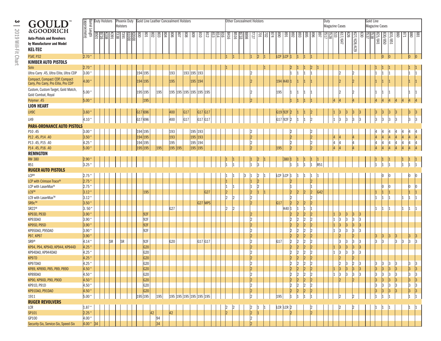| GOULD<br><b>&amp;GOODRICH</b>                                                    | Barrel<br>Barrel Length<br>(approximate) |                 | <b>Duty Holsters</b> |           | Holsters  | Phoenix Duty     | Gold Line Leather Concealment Holsters                  |    |     |             |                         |     |                    |             |                    |    | <b>Other Concealment Holsters</b> |             |      |                      |             |                     |     |            |                            |                      |                      |                            |            | Duty | <b>Magazine Cases</b>     |               |                      |     | Gold Line          |                      | Magazine Cases            |                |           |             |               |
|----------------------------------------------------------------------------------|------------------------------------------|-----------------|----------------------|-----------|-----------|------------------|---------------------------------------------------------|----|-----|-------------|-------------------------|-----|--------------------|-------------|--------------------|----|-----------------------------------|-------------|------|----------------------|-------------|---------------------|-----|------------|----------------------------|----------------------|----------------------|----------------------------|------------|------|---------------------------|---------------|----------------------|-----|--------------------|----------------------|---------------------------|----------------|-----------|-------------|---------------|
| <b>Auto-Pistols and Revolvers</b><br>by Manufacturer and Model<br><b>KEL-TEC</b> |                                          | B501            | $\frac{28}{5}$       | L991      | 뗿區        | $\frac{1000}{2}$ | $\frac{8}{2}$ $\frac{8}{2}$ $\frac{8}{2}$ $\frac{8}{2}$ |    |     | 908<br> န္တ | $\overline{108}$<br>808 | 608 | $\sqrt{18}$        | 612         | $\frac{8181}{413}$ |    | 9118                              | <b>B516</b> | 8688 | <b>T27</b>           | TOZ         | $\overline{\omega}$ | 474 | 068        | <b>168</b>                 | $\frac{892}{2}$      | $\frac{895}{893}$    | 968                        | <b>168</b> | 예회없  |                           | 17/647<br>979 | 627/628/629          | 630 | $\frac{1538}{157}$ |                      | $\frac{831/851}{820/850}$ |                | 098       |             | $\frac{1}{2}$ |
| <b>P3AT, P32</b>                                                                 | $ 2.70^{\circ} $                         |                 |                      |           |           |                  |                                                         |    |     |             |                         |     |                    |             |                    |    |                                   |             |      |                      | $ 2\rangle$ |                     |     |            | LCP LCP 1                  |                      |                      |                            |            |      |                           |               |                      |     |                    |                      | lo                        |                |           | $ 0\rangle$ |               |
| <b>KIMBER AUTO PISTOLS</b>                                                       |                                          |                 |                      |           |           |                  |                                                         |    |     |             |                         |     |                    |             |                    |    |                                   |             |      |                      |             |                     |     |            |                            |                      |                      |                            |            |      |                           |               |                      |     |                    |                      |                           |                |           |             |               |
| Solo                                                                             | $ 2.70^{\circ} $                         |                 |                      |           |           |                  |                                                         |    |     |             |                         |     |                    |             |                    |    |                                   |             |      |                      |             |                     |     |            |                            |                      |                      | 12                         |            |      |                           |               |                      |     |                    |                      |                           |                |           |             |               |
| Ultra Carry .45, Ultra Elite, Ultra CDP                                          | 3.00 <sup>4</sup>                        |                 |                      |           |           |                  | 194 195                                                 |    |     | 193         |                         |     | 193 195 193        |             |                    |    |                                   |             |      | 2                    |             |                     |     |            | 1                          |                      | 11                   |                            |            |      |                           |               | 12                   |     |                    | 11                   |                           |                |           |             |               |
| Compact, Compact CDP, Compact<br>Carry, Pro Carry, Pro Elite, Pro CDP            | 4.00 <sup>°</sup>                        |                 |                      |           |           |                  | 194 195                                                 |    |     | 195         |                         |     | 195 194            |             |                    |    |                                   |             |      |                      |             |                     |     |            | 194 K40 1                  |                      |                      |                            |            |      |                           |               |                      |     |                    |                      |                           |                |           |             |               |
| Custom, Custom Target, Gold Match,<br>Gold Combat, Royal                         | 5.00                                     |                 |                      |           |           |                  | 195 195                                                 |    | 195 |             | 195 195 195 195 195 195 |     |                    |             |                    |    |                                   |             |      |                      |             |                     |     | 195        | 1                          |                      | 11                   |                            |            |      | l2                        |               | l2                   |     |                    |                      |                           |                |           |             |               |
| Polymer .45                                                                      | 5.00                                     |                 |                      |           |           |                  | 195                                                     |    |     |             |                         |     |                    |             |                    |    |                                   |             |      |                      |             |                     |     |            |                            |                      |                      |                            |            |      | Z                         |               |                      |     |                    |                      |                           |                |           |             |               |
| <b>LION HEART</b>                                                                |                                          |                 |                      |           |           |                  |                                                         |    |     |             |                         |     |                    |             |                    |    |                                   |             |      |                      |             |                     |     |            |                            |                      |                      |                            |            |      |                           |               |                      |     |                    |                      |                           |                |           |             |               |
| LH9C                                                                             | 3.60                                     |                 |                      |           |           |                  | G17 696                                                 |    |     | 400         | G17                     |     | G17 G17            |             |                    |    |                                   |             |      |                      |             |                     |     | G19 92F    |                            |                      |                      |                            |            |      |                           |               |                      |     |                    |                      |                           |                |           |             |               |
| LH9                                                                              | 4.10                                     |                 |                      |           |           |                  | G17 696                                                 |    |     | 400         | G17                     |     | G17 G17            |             |                    |    |                                   |             |      |                      |             |                     |     |            | G17 92F 2                  |                      | I1                   | 12                         |            |      | lЗ                        | 13            | 13                   |     |                    | $ _3$                | 3                         | 3              | $\vert$ 3 |             |               |
|                                                                                  |                                          |                 |                      |           |           |                  |                                                         |    |     |             |                         |     |                    |             |                    |    |                                   |             |      |                      |             |                     |     |            |                            |                      |                      |                            |            |      |                           |               |                      |     |                    |                      |                           |                |           |             |               |
| <b>PARA-ORDNANCE AUTO PISTOLS</b>                                                |                                          |                 |                      |           |           |                  |                                                         |    |     |             |                         |     |                    |             |                    |    |                                   |             |      |                      |             |                     |     |            |                            |                      |                      |                            |            |      |                           |               |                      |     |                    |                      |                           |                |           |             |               |
| P10.45<br>P12 .45, P14 .40                                                       | 3.00 <sup>1</sup><br>3.50                |                 |                      |           |           |                  | 194 195<br>194 195                                      |    |     | 193<br>193  |                         |     | 195 193<br>195 193 |             |                    |    |                                   |             |      | $\overline{2}$       |             |                     |     |            | 12<br>$\vert$ <sub>2</sub> |                      |                      | 12<br>$\vert$ <sub>2</sub> |            |      |                           |               |                      |     |                    |                      |                           |                |           |             |               |
| P13.45, P15.40                                                                   | 4.25                                     |                 |                      |           |           |                  | 194 195                                                 |    |     | 195         |                         |     | 195 194            |             |                    |    |                                   |             |      |                      |             |                     |     |            | 2                          |                      |                      | $\overline{2}$             |            |      | 4<br>lΔ                   |               |                      |     |                    |                      |                           |                |           |             |               |
| P14 .45, P16 .40                                                                 | 5.00                                     |                 |                      |           |           |                  | .95<br>195                                              |    |     | 195 195     |                         |     | 195 195            |             |                    |    |                                   |             |      |                      |             |                     |     | 195        | l2                         |                      |                      |                            |            |      |                           |               |                      |     |                    |                      |                           |                |           |             |               |
|                                                                                  |                                          |                 |                      |           |           |                  |                                                         |    | 195 |             |                         |     |                    |             |                    |    |                                   |             |      |                      |             |                     |     |            |                            |                      |                      |                            |            |      |                           |               |                      |     |                    |                      |                           |                |           |             |               |
| <b>REMNGTON</b><br><b>RM 380</b>                                                 | 2.90                                     |                 |                      |           |           |                  |                                                         |    |     |             |                         |     |                    |             |                    |    |                                   |             |      |                      | 2           |                     |     |            | 380                        |                      |                      |                            |            |      |                           |               |                      |     |                    |                      |                           |                |           |             |               |
| <b>R51</b>                                                                       | 3.25                                     |                 |                      |           |           |                  |                                                         |    |     |             |                         |     |                    |             |                    |    |                                   |             |      |                      | l3          |                     |     |            |                            |                      |                      |                            | R51        |      |                           |               |                      |     |                    |                      |                           |                |           |             |               |
| <b>RUGER AUTO PISTOLS</b>                                                        |                                          |                 |                      |           |           |                  |                                                         |    |     |             |                         |     |                    |             |                    |    |                                   |             |      |                      |             |                     |     |            |                            |                      |                      |                            |            |      |                           |               |                      |     |                    |                      |                           |                |           |             |               |
| <b>LCP®</b>                                                                      | $2.75$ "                                 |                 |                      |           |           |                  |                                                         |    |     |             |                         |     |                    |             |                    |    |                                   |             |      |                      | 12          |                     |     | <b>LCP</b> | LCP                        |                      |                      |                            |            |      |                           |               |                      |     |                    |                      |                           |                |           |             |               |
| LCP with Crimson Trace <sup>®</sup>                                              | 2.75                                     |                 |                      |           |           |                  |                                                         |    |     |             |                         |     |                    |             |                    |    |                                   |             |      |                      | $ 2\rangle$ |                     |     |            | 2                          |                      |                      | $ 2\rangle$                |            |      |                           |               |                      |     |                    |                      |                           |                |           |             |               |
| LCP with LaserMax®                                                               | $2.75^{\circ}$                           |                 |                      |           |           |                  |                                                         |    |     |             |                         |     |                    |             |                    |    |                                   |             |      |                      | $\vert$ 2   |                     |     |            |                            |                      |                      |                            |            |      |                           |               |                      |     |                    |                      |                           |                |           |             |               |
| LC9™                                                                             | 3.12                                     |                 |                      |           |           |                  | 195                                                     |    |     |             |                         |     |                    | G27         |                    | l2 |                                   |             |      | $\overline{2}$       |             |                     |     |            | 2                          | 2                    | 12                   | 2                          | G42        |      |                           |               |                      |     |                    |                      |                           |                |           |             |               |
| LC9 with LaserMax™                                                               | $3.12^{\circ}$                           |                 |                      |           |           |                  |                                                         |    |     |             |                         |     |                    |             |                    |    |                                   |             |      | 2                    |             |                     |     |            | 2                          |                      |                      | $ 2\rangle$                |            |      |                           |               |                      |     |                    |                      |                           |                |           |             |               |
| SR9c™                                                                            | 3.50                                     |                 |                      |           |           |                  |                                                         |    |     |             |                         |     |                    | $ G27 $ MPS |                    |    |                                   |             |      | l2                   |             |                     |     | G17        | $ 2\rangle$                | 2                    | 12                   | $\overline{2}$             |            |      |                           |               |                      |     |                    |                      |                           |                |           |             |               |
| SR22 <sup>®</sup>                                                                | 3.50                                     |                 |                      |           |           |                  |                                                         |    |     | G27         |                         |     |                    |             |                    |    |                                   |             |      |                      |             |                     |     |            | K40  1                     |                      | l1                   |                            |            |      |                           |               |                      |     |                    |                      |                           |                |           |             |               |
| <b>KP93D, P93D</b>                                                               | 3.90 <sup>°</sup>                        |                 |                      |           |           |                  | 92F                                                     |    |     |             |                         |     |                    |             |                    |    |                                   |             |      | $\overline{2}$       |             |                     |     |            | 2                          | 2                    | 2                    | $\overline{2}$             |            |      |                           |               | lЗ                   |     |                    |                      |                           |                |           |             |               |
| KP93DA0                                                                          | 3.90 <sup>°</sup>                        |                 |                      |           |           |                  | 92F                                                     |    |     |             |                         |     |                    |             |                    |    |                                   |             |      | 2                    |             |                     |     |            | 2                          | 12                   | 12                   | $\overline{2}$             |            |      |                           | lЗ            | 13                   | IЗ  |                    |                      |                           |                |           |             |               |
| <b>KP95D, P95D</b>                                                               | 3.90                                     |                 |                      |           |           |                  | 92F                                                     |    |     |             |                         |     |                    |             |                    |    |                                   |             |      | 2                    |             |                     |     |            | 2                          | 2                    | 12                   | 2                          |            |      | 1<br> 3                   |               | 3                    |     |                    |                      |                           |                |           |             |               |
| KP95DAO, P95DAO                                                                  | $3.90^{\circ}$                           |                 |                      |           |           |                  | 92F                                                     |    |     |             |                         |     |                    |             |                    |    |                                   |             |      | 2                    |             |                     |     |            | 2                          | l2                   | 12                   | $\overline{2}$             |            |      | I1<br>13                  |               | 13                   |     |                    |                      |                           |                |           |             |               |
| P97, KP97                                                                        | 3.90                                     |                 |                      |           |           |                  |                                                         |    |     |             |                         |     |                    |             |                    |    |                                   |             |      | 2                    |             |                     |     |            | $\vert$ <sub>2</sub>       | 2                    | $ 2\>$               | $ 2\rangle$                |            |      |                           |               | 2                    |     |                    |                      | 3                         | $\overline{3}$ | 3         | 3           |               |
| SR9®                                                                             | 4.14                                     |                 |                      | <b>SR</b> | <b>SR</b> |                  | 92F                                                     |    |     | G20         |                         |     | G17 G17            |             |                    |    |                                   |             |      | 2                    |             |                     |     | G17        | $\vert$ <sub>2</sub>       | 2                    | 12                   | $\overline{2}$             |            |      | lЗ                        |               | 13                   |     |                    | $\frac{3}{3}$        | lз                        |                | $\vert$ 3 | 3 <br>13    | lз            |
| KP94, P94, KP94D, KP944, KP944D                                                  | 4.25                                     |                 |                      |           |           |                  | G20                                                     |    |     |             |                         |     |                    |             |                    |    |                                   |             |      | $\overline{2}$       |             |                     |     |            | 2                          | 2                    | 12                   | 12                         |            |      | 13<br>11                  |               | $ _3$                |     |                    |                      |                           |                |           |             |               |
| KP94DAO, KP944DAO                                                                | 4.25                                     |                 |                      |           |           |                  | G20                                                     |    |     |             |                         |     |                    |             |                    |    |                                   |             |      | 2                    |             |                     |     |            | $\overline{2}$             | l2                   | 12                   | $\overline{2}$             |            |      | lЗ                        | 3             | 13                   |     |                    |                      |                           |                |           |             |               |
| KP97D                                                                            | 4.25                                     |                 |                      |           |           |                  | G20                                                     |    |     |             |                         |     |                    |             |                    |    |                                   |             |      | 2                    |             |                     |     |            | 2                          | 2                    | 12                   | $ 2\rangle$                |            |      |                           |               | 2                    |     |                    |                      |                           |                |           |             |               |
| KP97DA0                                                                          | 4.25                                     |                 |                      |           |           |                  | G20                                                     |    |     |             |                         |     |                    |             |                    |    |                                   |             |      | 12                   |             |                     |     |            | 2                          | 2                    | 2                    | $ 2\rangle$                |            |      | $\vert$ 2                 |               | $\overline{2}$       |     |                    | $\vert$ 3            | 3                         | 13             | 13        | 13          |               |
| KP89, KP89D, P85, P89, P89D                                                      | 4.50 "                                   |                 |                      |           |           |                  | G20                                                     |    |     |             |                         |     |                    |             |                    |    |                                   |             |      |                      |             |                     |     |            | ŀ۱                         | <u>ار</u>            | l٥                   | ∣ہ                         |            |      |                           | اہ            | $ 3\rangle$          | z   |                    | $\vert$ <sub>3</sub> | $ _3$                     | $\vert$ 3      | $ _{3}$   | 3           |               |
| KP89DA0                                                                          | 4.50                                     |                 |                      |           |           |                  | G20                                                     |    |     |             |                         |     |                    |             |                    |    |                                   |             |      | 2                    |             |                     |     |            | 2                          | $\vert$ 2            | 2                    | 2                          |            |      | $\vert$ 3<br>$\mathbf{1}$ | 3             | 3                    | 3   |                    | $\vert$ 3            | 3                         | 3              | 3         | 3           | 3             |
| KP90, KP90D, P90, P90D                                                           | $4.50$ "                                 |                 |                      |           |           |                  | G20                                                     |    |     |             |                         |     |                    |             |                    |    |                                   |             |      | $ 2\rangle$          |             |                     |     |            | $\vert$ <sub>2</sub>       | $\vert$ <sub>2</sub> | $\vert$ <sub>2</sub> | $\vert$ <sub>2</sub>       |            |      | $\vert$ <sub>2</sub>      |               | $\vert$ <sub>2</sub> |     |                    |                      | 3                         | $ 3\rangle$    | 3         | 3           | $ 3\rangle$   |
| KP91D, P91D                                                                      | 4.50 "                                   |                 |                      |           |           |                  | G20                                                     |    |     |             |                         |     |                    |             |                    |    |                                   |             |      | $ 2\rangle$          |             |                     |     |            | $\vert$ <sub>2</sub>       | $\vert$ 2            | 2                    | $\vert$ 2                  |            |      |                           |               |                      |     |                    | $\frac{3}{3}$        | $\vert$ 3                 | $\overline{3}$ | 3         | 3           | 3             |
| KP91DAO, P91DAO                                                                  | 4.50 <sup>°</sup>                        |                 |                      |           |           |                  | G20                                                     |    |     |             |                         |     |                    |             |                    |    |                                   |             |      | $ 2\rangle$          |             |                     |     |            | $\vert$ <sub>2</sub>       | $\vert$ <sub>2</sub> | $\vert$ 2            | 2                          |            |      |                           |               |                      |     |                    | 3                    | 3                         | 3              | 3         | 3           | <sub>3</sub>  |
| 1911                                                                             | 5.00                                     |                 |                      |           |           |                  | 195 195                                                 |    | 195 |             | 195 195 195 195 195 195 |     |                    |             |                    |    |                                   |             |      | 2                    |             |                     |     | 195        | $\mathbf{1}$               |                      | l1                   |                            |            |      |                           |               |                      |     |                    |                      |                           |                |           |             |               |
| <b>RUGER REVOLVERS</b>                                                           |                                          |                 |                      |           |           |                  |                                                         |    |     |             |                         |     |                    |             |                    |    |                                   |             |      |                      |             |                     |     |            |                            |                      |                      |                            |            |      |                           |               |                      |     |                    |                      |                           |                |           |             |               |
| LCR                                                                              | $1.87$ "                                 |                 |                      |           |           |                  |                                                         |    |     |             |                         |     |                    |             |                    |    |                                   |             |      | 2                    |             |                     |     |            | $LCR$ $LCR$ $2$            |                      |                      | 2                          |            |      |                           |               |                      |     |                    |                      |                           |                |           |             |               |
| <b>SP101</b>                                                                     | 2.25                                     |                 |                      |           |           |                  |                                                         | 42 |     | 42          |                         |     |                    |             |                    |    | $\mathsf{I}2$                     |             |      | $\vert$ <sub>2</sub> | $\vert$ 1   |                     |     |            | $\vert$ <sub>2</sub>       |                      |                      | $ 2\rangle$                |            |      |                           |               |                      |     |                    |                      |                           |                |           |             |               |
| GP100                                                                            | 4.00                                     |                 |                      |           |           |                  |                                                         |    | 94  |             |                         |     |                    |             |                    |    |                                   |             |      | 2                    |             |                     |     |            |                            |                      |                      |                            |            |      |                           |               |                      |     |                    |                      |                           |                |           |             |               |
| Security-Six, Service-Six, Speed-Six                                             | $4.00$ "                                 | $\overline{34}$ |                      |           |           |                  |                                                         |    | 34  |             |                         |     |                    |             |                    |    |                                   |             |      | <sup>2</sup>         |             |                     |     |            |                            |                      |                      |                            |            |      |                           |               |                      |     |                    |                      |                           |                |           |             |               |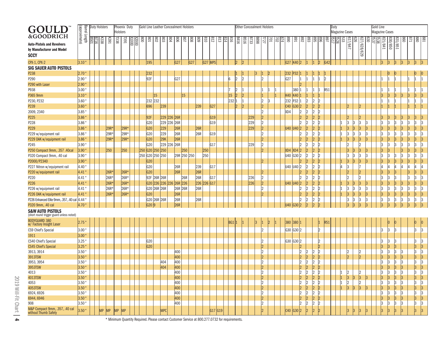| GOULD                                                  |                                       |      | <b>Duty Holsters</b> |           |                 | Phoenix Duty |                         |                   | Gold Line Leather Concealment Holsters          |             |         |                   |             |             |         |                   |             |      |             | <b>Other Concealment Holsters</b> |                  |             |                 |            |                      |                                                                         |                                                           |                 | Duty |                       |                      |                    |    | Gold Line             |         |                    |    |            |                 |    |
|--------------------------------------------------------|---------------------------------------|------|----------------------|-----------|-----------------|--------------|-------------------------|-------------------|-------------------------------------------------|-------------|---------|-------------------|-------------|-------------|---------|-------------------|-------------|------|-------------|-----------------------------------|------------------|-------------|-----------------|------------|----------------------|-------------------------------------------------------------------------|-----------------------------------------------------------|-----------------|------|-----------------------|----------------------|--------------------|----|-----------------------|---------|--------------------|----|------------|-----------------|----|
|                                                        | <b>Barrel Length</b><br>(approximate) |      |                      |           | <b>Holsters</b> |              |                         |                   |                                                 |             |         |                   |             |             |         |                   |             |      |             |                                   |                  |             |                 |            |                      |                                                                         |                                                           |                 |      | <b>Magazine Cases</b> |                      |                    |    | <b>Magazine Cases</b> |         |                    |    |            |                 |    |
| <b>&amp;GOODRICH</b>                                   |                                       | B501 | K338                 | K391      | 1338            | <b>1391</b>  |                         |                   | $rac{8}{8}$ $rac{8}{8}$ $rac{8}{8}$ $rac{8}{8}$ |             |         | $\frac{808}{205}$ | 608         | 018         | 612     | $\frac{814}{813}$ | 918<br>9118 | 8516 | <b>B733</b> | $rac{177}{888}$                   | $\overline{101}$ | 1 <u>sl</u> | 068             | <b>F68</b> | 768                  | $rac{8}{2}$                                                             |                                                           | န္ကုန္တုန္ၾ     | 國    | 33                    | 979                  |                    |    |                       |         |                    |    | 098<br>128 | $\frac{88}{28}$ |    |
| <b>Auto-Pistols and Revolvers</b>                      |                                       |      |                      |           |                 |              | $\frac{000}{2}$<br>0001 |                   |                                                 |             |         |                   |             |             |         |                   |             |      |             |                                   |                  |             |                 |            |                      |                                                                         |                                                           |                 |      |                       | 1917/647             | 630<br>627/628/629 |    |                       | 321/841 | 830/850<br>331/851 |    |            |                 |    |
| by Manufacturer and Model                              |                                       |      |                      |           |                 |              |                         |                   |                                                 |             |         |                   |             |             |         |                   |             |      |             |                                   |                  |             |                 |            |                      |                                                                         |                                                           |                 |      |                       |                      |                    |    |                       |         |                    |    |            |                 |    |
| <b>SCCY</b>                                            |                                       |      |                      |           |                 |              |                         |                   |                                                 |             |         |                   |             |             |         |                   |             |      |             |                                   |                  |             |                 |            |                      |                                                                         |                                                           |                 |      |                       |                      |                    |    |                       |         |                    |    |            |                 |    |
| <b>CPX-1, CPX-2</b>                                    | 3.10 <sup>u</sup>                     |      |                      |           |                 |              |                         | 195               |                                                 | G27         |         | G27               |             | $ G27 $ MPS |         |                   |             | 2    |             |                                   |                  |             |                 | G27 K40 2  |                      | $ 1\rangle$                                                             | 2 <br> 1                                                  | G42             |      |                       |                      |                    |    | 3                     | 3       | 13                 | 3  | 13         | 3               |    |
| <b>SIG SAUER AUTO PISTOLS</b>                          |                                       |      |                      |           |                 |              |                         |                   |                                                 |             |         |                   |             |             |         |                   |             |      |             |                                   |                  |             |                 |            |                      |                                                                         |                                                           |                 |      |                       |                      |                    |    |                       |         |                    |    |            |                 |    |
| P238                                                   | $2.70^{\circ}$                        |      |                      |           |                 |              |                         | 232               |                                                 |             |         |                   |             |             |         |                   |             |      |             |                                   |                  |             | 232             |            |                      |                                                                         |                                                           |                 |      |                       |                      |                    |    |                       |         |                    |    |            |                 |    |
| P290                                                   | $2.90^{\circ}$                        |      |                      |           |                 |              |                         | 92F               |                                                 | G27         |         |                   |             |             |         | 16                |             | 2    |             | I2                                |                  |             | G <sub>27</sub> |            |                      | I1                                                                      |                                                           | <sup>2</sup>    |      |                       |                      |                    |    |                       |         |                    |    |            |                 |    |
| P290 with Laser                                        | 2.90                                  |      |                      |           |                 |              |                         |                   |                                                 |             |         |                   |             |             |         |                   |             |      |             |                                   |                  |             |                 |            | ١C                   |                                                                         |                                                           |                 |      |                       |                      |                    |    |                       |         |                    |    |            |                 |    |
| P938                                                   | 3.00 $\degree$                        |      |                      |           |                 |              |                         |                   |                                                 |             |         |                   |             |             |         |                   |             |      |             |                                   |                  |             |                 | 380        |                      |                                                                         |                                                           | R <sub>51</sub> |      |                       |                      |                    |    |                       |         |                    |    |            |                 |    |
| P365 9mm                                               | $3.10^{\circ}$                        |      |                      |           |                 |              |                         | 15                |                                                 |             | 15      |                   |             |             |         |                   | 15          | 2    |             |                                   |                  |             | <b>K40</b>      |            | K40 1                |                                                                         |                                                           |                 |      |                       |                      |                    |    | G                     |         |                    |    |            |                 |    |
| P230, P232                                             | $3.60*$                               |      |                      |           |                 |              |                         | 232 232           |                                                 |             |         |                   |             |             |         |                   | 232         | 1    |             | 12                                |                  |             | 232             |            | P32 1                | 2                                                                       | 2                                                         |                 |      |                       |                      |                    |    |                       |         |                    |    |            |                 |    |
| P239                                                   | 3.60                                  |      |                      |           |                 |              |                         | 696               | 239                                             |             |         |                   | 239         | G27         |         |                   |             | 2    |             | 2                                 |                  |             | C40             |            | G30 2                | 2                                                                       | 2                                                         |                 |      |                       |                      |                    |    |                       |         |                    |    |            |                 |    |
| 2009, 2340                                             | 3.85                                  |      |                      |           |                 |              |                         |                   |                                                 |             |         |                   |             |             |         |                   |             |      |             | $\overline{2}$                    |                  |             | XD4             |            | $\mathcal{D}$        | 2                                                                       | 2<br>12                                                   |                 |      |                       |                      |                    |    |                       |         |                    |    |            |                 |    |
| P225                                                   | 3.86                                  |      |                      |           |                 |              |                         | 92F               |                                                 | 229 226 26R |         |                   |             | G19         |         |                   |             |      | 229         | $\vert$ <sub>2</sub>              |                  |             |                 |            | 2                    | 2                                                                       | 2<br>12                                                   |                 |      |                       |                      |                    |    | IЭ                    |         |                    |    | 13         |                 |    |
| P228                                                   | 3.86                                  |      |                      |           |                 |              |                         | G20               |                                                 | 229 226 26R |         |                   |             | G19         |         |                   |             |      | 229         | $ 2\rangle$                       |                  |             |                 |            |                      | 2                                                                       | 2                                                         |                 |      |                       | 13                   |                    |    | 3                     |         |                    | l3 | 3          | 3               | l3 |
| P229                                                   | 3.86                                  |      |                      | 29R*      |                 | 29R*         |                         | G20               | 229                                             | 26R         |         |                   | 26R         |             |         |                   |             |      | 229         | $\vert$ <sub>2</sub>              |                  |             |                 | U40 U40 2  |                      | 2                                                                       | 2<br> 2                                                   |                 |      |                       |                      |                    |    | G                     |         |                    |    |            |                 |    |
| P229 w/equipment rail                                  | 3.86                                  |      |                      | 29R*      |                 | 29R*         |                         | G20               | 229                                             | 26R         |         |                   | 26R         | G19         |         |                   |             |      |             | l2                                |                  |             |                 |            |                      | 12                                                                      | 12                                                        |                 |      |                       | l3                   |                    |    | ß                     |         |                    |    |            |                 |    |
| P229 DAK w/equipment rail                              | 3.86                                  |      |                      | 29R*      |                 | 29R*         |                         | G20               | 29K                                             | 26R         |         |                   |             |             |         |                   |             |      |             | $ 2\rangle$                       |                  |             |                 |            |                      | 2                                                                       | 2<br>12                                                   |                 |      |                       | 3<br>13              | l3                 | l3 | 13                    |         |                    |    |            |                 |    |
| P245                                                   | 3.90 "                                |      |                      |           |                 |              |                         | G20               |                                                 | 229 226 26R |         |                   |             |             | G17     |                   |             |      | 229         | $ 2\rangle$                       |                  |             |                 |            |                      | 12                                                                      |                                                           |                 |      |                       |                      |                    |    | lЗ                    |         |                    |    |            |                 |    |
| P250 Compact 9mm, .357 .40cal                          | 3.90                                  |      |                      | 250       |                 | 250          |                         |                   | 250 G20 250 250                                 |             | 250     |                   |             | 250         |         |                   |             |      |             | $\vert$ <sub>2</sub>              |                  |             | XD4             |            | $XD4$ 2              | 2                                                                       | l2<br> 2                                                  |                 |      |                       | lЗ                   |                    |    | G                     |         |                    |    |            |                 |    |
| P320 Compact 9mm, .40 cal                              | 3.90 "                                |      |                      |           |                 |              |                         |                   | 250 G20 250 250                                 |             |         | 29R 250 250       |             | 250         |         |                   |             |      |             |                                   |                  |             | U40             |            | G30 2                | 2                                                                       | 2<br>2                                                    |                 |      |                       | l3                   |                    |    | 3                     |         |                    |    |            |                 |    |
| P2000/P2340                                            | 3.90                                  |      |                      |           |                 |              |                         | G20               |                                                 |             |         |                   |             |             |         |                   |             |      |             | l2                                |                  |             |                 |            |                      | 2                                                                       | 2<br> 2                                                   |                 |      |                       | 3<br> 3              | l3                 | l3 | 3                     |         |                    |    | 3          |                 |    |
| P227 Nitron w/equipment rail                           | 4.40 "                                |      |                      |           |                 |              |                         | G20               |                                                 | 26R         |         |                   | 239         | G17         |         |                   |             |      |             |                                   |                  |             |                 | U40 U40 2  |                      | 2                                                                       | 2<br>12                                                   |                 |      |                       | 13                   |                    |    |                       |         |                    |    |            |                 |    |
| P220 w/equipment rail                                  | 4.41                                  |      |                      | 26R*      |                 | 26R*         |                         | G20               |                                                 | 26R         |         |                   | 26R         |             |         |                   |             |      |             | 2                                 |                  |             |                 |            |                      | $\overline{2}$                                                          | 2                                                         |                 |      |                       |                      |                    |    | G                     |         |                    |    |            |                 |    |
| P220                                                   | 4.41 *                                |      |                      | 26R*      |                 | 26R*         |                         |                   | 92F 26R 26R                                     |             | 26R     |                   | 26R         |             | G17     |                   |             |      | 226         | 12                                |                  |             |                 |            |                      | 12                                                                      |                                                           |                 |      |                       |                      |                    |    |                       |         |                    |    |            |                 |    |
| P226                                                   | 4.41                                  |      |                      | 26R*      |                 | 26R*         |                         |                   | G20 226 226 226                                 |             | 26R 226 |                   | 226 226 G17 |             |         |                   |             |      | 226         | $\vert$ <sub>2</sub>              |                  |             |                 | U40 U40 2  |                      | 2                                                                       | 2                                                         |                 |      |                       |                      |                    |    | G                     |         |                    |    |            |                 |    |
| P226 w/equipment rail                                  | 4.41'                                 |      |                      | 26R*      |                 | 26R*         |                         |                   | G20 26R 26R                                     |             | 26R 26R |                   | 26R         |             |         |                   |             |      |             | $\overline{2}$                    |                  |             |                 |            |                      | 2                                                                       | 2<br>12                                                   |                 |      |                       | 3                    |                    |    | 3                     |         |                    |    | 3          | 3               | l3 |
| P226 DAK w/equipment rail                              | 4.41                                  |      |                      | 26R*      |                 | 26R*         |                         | G20               |                                                 | 26R         |         |                   |             |             |         |                   |             |      |             | b                                 |                  |             |                 |            |                      | 2                                                                       | 2<br> 2                                                   |                 |      |                       | 3                    |                    |    | 13                    |         |                    | ß  | 3          | 13              | 3  |
| P226 Enhanced Elite 9mm, .357, .40 cal                 | 4.44                                  |      |                      |           |                 |              |                         |                   | G20 26R 26R                                     | 26R         |         |                   | 26R         |             |         |                   |             |      |             |                                   |                  |             |                 |            |                      | 2                                                                       | $ 2\rangle$                                               |                 |      |                       | 3<br>13              |                    |    | 3                     | 13      | 13                 | 3  | 13         | 3               | 3  |
| P320 9mm, .40 cal                                      | 4.70 °                                |      |                      |           |                 |              |                         | G <sub>20</sub> 9 |                                                 | 26R         |         |                   |             |             |         |                   |             |      |             |                                   |                  |             | U40             |            | G30  2               | $\vert$ <sub>2</sub>                                                    | $\vert$                                                   |                 |      |                       | l3                   |                    |    | 3                     | R       | l3                 | 13 | 3          | $ _3$           |    |
| <b>S&amp;W AUTO PISTOLS</b>                            |                                       |      |                      |           |                 |              |                         |                   |                                                 |             |         |                   |             |             |         |                   |             |      |             |                                   |                  |             |                 |            |                      |                                                                         |                                                           |                 |      |                       |                      |                    |    |                       |         |                    |    |            |                 |    |
| (short round trigger guard unless noted)               |                                       |      |                      |           |                 |              |                         |                   |                                                 |             |         |                   |             |             |         |                   |             |      |             |                                   |                  |             |                 |            |                      |                                                                         |                                                           |                 |      |                       |                      |                    |    |                       |         |                    |    |            |                 |    |
| <b>BODYGUARD 380</b><br>w/ Factory Insight Laser       | 2.75                                  |      |                      |           |                 |              |                         |                   |                                                 |             |         |                   |             |             |         |                   | BG1         |      |             |                                   |                  |             | 380             |            | 380 1                |                                                                         |                                                           | <u>R51</u>      |      |                       |                      |                    |    |                       |         |                    |    |            |                 |    |
| CS9 Chief's Special                                    | $3.00*$                               |      |                      |           |                 |              |                         |                   |                                                 |             |         |                   |             |             |         |                   |             |      |             | 12                                |                  |             |                 | G30 G30 2  |                      |                                                                         | $\mathcal{D}$                                             |                 |      |                       |                      |                    |    |                       |         |                    |    |            |                 |    |
| 1911                                                   | $3.00^{\circ}$                        |      |                      |           |                 |              |                         |                   |                                                 |             |         |                   |             |             |         |                   |             |      |             |                                   |                  |             |                 |            |                      |                                                                         |                                                           |                 |      |                       |                      |                    |    |                       |         |                    |    |            |                 |    |
| CS40 Chief's Special                                   | 3.25                                  |      |                      |           |                 |              |                         | G <sub>20</sub>   |                                                 |             |         |                   |             |             |         |                   |             |      |             |                                   |                  |             |                 | G30 G30 2  |                      |                                                                         |                                                           |                 |      |                       |                      |                    |    |                       |         |                    |    |            | 13              |    |
| <b>CS45 Chief's Special</b>                            | 3.25                                  |      |                      |           |                 |              |                         | G20               |                                                 |             |         |                   |             |             |         |                   |             |      |             | 2                                 |                  |             |                 |            |                      |                                                                         |                                                           |                 |      |                       |                      |                    |    |                       |         |                    |    |            | 3               |    |
| 3913, 3914                                             | 3.50                                  |      |                      |           |                 |              |                         |                   |                                                 | 400         |         |                   |             |             |         |                   |             |      |             | 2                                 |                  |             |                 |            | 12                   |                                                                         |                                                           |                 |      |                       |                      |                    |    | 13                    |         |                    |    |            | 13              | 13 |
| 3913TSW                                                | 3.50                                  |      |                      |           |                 |              |                         |                   |                                                 | 400         |         |                   |             |             |         |                   |             |      |             | $\overline{2}$                    |                  |             |                 |            |                      |                                                                         | 2<br>12                                                   |                 |      |                       |                      |                    |    |                       |         |                    | l3 |            | 13              | 3  |
| 3953, 3954                                             | 3.50                                  |      |                      |           |                 |              |                         |                   | 404                                             | 400         |         |                   |             |             |         |                   |             |      |             | $\overline{2}$                    |                  |             |                 |            | 12                   | 12                                                                      | ١C                                                        |                 |      |                       |                      |                    |    |                       |         |                    | l3 |            | 13              | l3 |
| 3953TSW                                                | 3.50                                  |      |                      |           |                 |              |                         |                   | 404                                             | 400         |         |                   |             |             |         |                   |             |      |             | $ 2\rangle$                       |                  |             |                 |            | 12                   | 2                                                                       | 2<br>12                                                   |                 |      |                       |                      |                    |    |                       |         |                    | 13 |            | 3               | 3  |
| 4013                                                   | 3.50 "                                |      |                      |           |                 |              |                         |                   |                                                 | 400         |         |                   |             |             |         |                   |             |      |             | ١ŋ                                |                  |             |                 |            | Iŋ                   | $ 2\rangle$                                                             | $\sqrt{2}$<br>$\mathcal{D}$                               |                 |      |                       |                      |                    |    | l3                    | ١3      | l3                 | ١s |            | l3              | 3  |
| 4013TSW                                                | 3.50 <sup>u</sup>                     |      |                      |           |                 |              |                         |                   |                                                 | 400         |         |                   |             |             |         |                   |             |      |             | $\frac{2}{2}$                     |                  |             |                 |            | 2                    |                                                                         | $\frac{2}{2}$<br>$\vert$ <sup>2</sup>                     |                 |      | 1                     | 3 <br> 3             | 3                  | 3  | 3                     | 3       | 3                  | 3  |            | 3               | 3  |
| 4053                                                   | $3.50$ "                              |      |                      |           |                 |              |                         |                   |                                                 | 400         |         |                   |             |             |         |                   |             |      |             |                                   |                  |             |                 |            | 2                    |                                                                         | $\vert$ <sub>2</sub>                                      |                 |      |                       | 2                    | $\overline{2}$     |    | 3                     | 3       | 3                  | 3  |            | 3               | 3  |
| 4053TSW                                                | 3.50 <sup>4</sup>                     |      |                      |           |                 |              |                         |                   |                                                 | 400         |         |                   |             |             |         |                   |             |      |             | $\vert$ <sub>2</sub>              |                  |             |                 |            | $\vert$ <sub>2</sub> |                                                                         | $\vert$ <sub>2</sub>                                      |                 |      | $ 1\rangle$           | <sub>3</sub>  <br> 3 | 3                  | 13 | 3                     | 3       | l3                 | 3  |            | 3               | 3  |
| 6924, 6926                                             | $3.50$ "                              |      |                      |           |                 |              |                         |                   |                                                 | 400         |         |                   |             |             |         |                   |             |      |             | $\vert$ 2                         |                  |             |                 |            | $ 2\rangle$          |                                                                         | $\begin{array}{c} 2 \\ 2 \\ 2 \end{array}$<br>$ 2\rangle$ |                 |      |                       |                      |                    |    | 3                     | 3       | 3                  | 3  |            | 3               | 3  |
| 6944, 6946                                             | 3.50 <sup>u</sup>                     |      |                      |           |                 |              |                         |                   |                                                 | 400         |         |                   |             |             |         |                   |             |      |             | $\vert$ <sub>2</sub>              |                  |             |                 |            | 2                    | $\begin{array}{c c} 2 & 2 & 2 \\ 2 & 2 & 2 \\ 2 & 2 & 2 \\ \end{array}$ | $\vert$ <sub>2</sub>                                      |                 |      |                       |                      |                    |    | 3                     | 3       | 3                  | 3  |            | 3               | 3  |
| 908                                                    | $3.50$ "                              |      |                      |           |                 |              |                         |                   |                                                 | 400         |         |                   |             |             |         |                   |             |      |             | 2                                 |                  |             |                 |            | $ 2\rangle$          |                                                                         | $\vert$ <sub>2</sub><br>$\vert$ 2                         |                 |      |                       |                      |                    |    | 3                     | 3       | 3                  | 3  |            | 3               | 3  |
| M&P Compact 9mm. .357. .40 cal<br>without Thumb Safety | 3.50 "                                |      | MP                   | <b>MP</b> | MP              | <b>MP</b>    |                         |                   | MPC                                             |             |         |                   |             |             | G17 G19 |                   |             |      |             | $\overline{2}$                    |                  |             |                 | C40 G30 2  |                      | 2                                                                       | 2 <br> 2                                                  |                 |      |                       | 13<br> 3             |                    |    | 3                     | 3       | 3                  | 3  |            | 3               | 3  |

4\* Minimum Quantity Required. Please contact Customer Service at 800.277.0732 for requirements.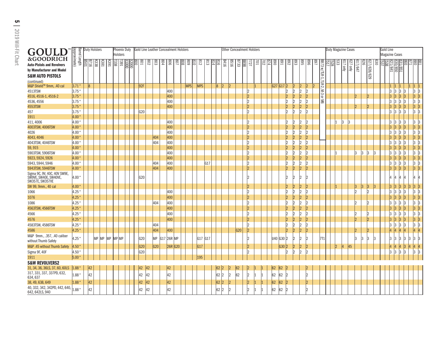| GOULD<br>&GOODRICH                                                                                                                                                                     | <br> aarrel Length<br> approximate)                                                      | <b>Duty Holsters</b>  |                 |                 |               | Phoenix Duty<br><b>Holsters</b> |                     |     |                      |                | Gold Line Leather Concealment Holsters |                                               |         |                 |                  |                |                 |                          |                             | <b>Other Concealment Holsters</b> |                                                                |          |                    |                           |                        |                                                    |                                                   |                                         |     |     | Duty Magazine Cases |     |                                 |    |        |                    |              | Gold Line | <b>Magazine Cases</b>                            |                                                      |                                           |                                                                               |                 |
|----------------------------------------------------------------------------------------------------------------------------------------------------------------------------------------|------------------------------------------------------------------------------------------|-----------------------|-----------------|-----------------|---------------|---------------------------------|---------------------|-----|----------------------|----------------|----------------------------------------|-----------------------------------------------|---------|-----------------|------------------|----------------|-----------------|--------------------------|-----------------------------|-----------------------------------|----------------------------------------------------------------|----------|--------------------|---------------------------|------------------------|----------------------------------------------------|---------------------------------------------------|-----------------------------------------|-----|-----|---------------------|-----|---------------------------------|----|--------|--------------------|--------------|-----------|--------------------------------------------------|------------------------------------------------------|-------------------------------------------|-------------------------------------------------------------------------------|-----------------|
| <b>Auto-Pistols and Revolvers</b><br>by Manufacturer and Model<br><b>S&amp;W AUTO PISTOLS</b><br>(continued)                                                                           |                                                                                          | $\frac{18}{25}$       | $\overline{88}$ | $\frac{180}{2}$ | $\frac{5}{2}$ | 338                             | $\frac{1000}{1391}$ | 000 | <b>EO8</b>           | ခြိ            | 604<br>803                             | $\frac{8}{20}$                                |         | $rac{808}{807}$ | $rac{8}{2}$<br>히 | 812            | 813             | $rac{816}{814}$          | BE16                        | B733                              | <b>727</b>                                                     | <b>D</b> | 20                 | $rac{800}{874}$           | <b>E</b> 68            | 892                                                | $\frac{893}{5}$<br>895                            | 968                                     | 768 |     |                     | င္ဟ | 17 only<br>$\sqrt{\frac{1}{2}}$ |    | 17/647 | 627/628/629        | $\tilde{5}0$ |           | $\frac{188}{241}$                                |                                                      |                                           | $\frac{1}{2}$                                                                 |                 |
| M&P Shield™ 9mm, .40 cal<br>4513TSW<br>4516, 4516-1, 4516-2<br>4536, 4556<br>4553TSW<br>457<br>1911                                                                                    | $ 3.71$ "<br>3.75<br>3.75'<br>3.75'<br>3.75'<br>3.75<br>4.00                             | 8                     |                 |                 |               |                                 |                     |     | 92F<br>G20           |                |                                        | 400<br>400<br>400<br>400                      |         |                 | <b>MPS</b>       | <b>MPS</b>     |                 | 8                        | 2 <br>$\overline{2}$        |                                   | 12<br> 2 <br><sub>2</sub><br> 2 <br>l2                         |          |                    |                           | G27 G17 2              | 2 <br> 2 <br>12<br> 2 <br> 2<br> 2 <br>$ 2\rangle$ | $ 2\rangle$<br>2<br>$ 2\rangle$<br>2<br> 2 <br> 2 | 2 <br> 2 <br> 2 <br> 2 <br> 2 <br> 2    |     |     |                     |     |                                 |    |        | 12                 |              |           | $ 1\rangle$<br>13<br>13<br> 3 <br>lЗ<br>13<br>lЗ | 1 <br>$\vert$ 3<br> 3<br>$\vert$ 3<br> 3 <br> 3      | 1 <br>13<br>lЗ<br>$\mathbf{3}$            | $\begin{vmatrix} 1 & \end{vmatrix}$<br> 3 <br> 3 <br> 3 <br>$ 3\rangle$<br> 3 | 13<br> 3 <br>13 |
| 411, 4006<br>4003TSW, 4006TSW<br>4026<br>4043, 4046<br>4043TSW, 4046TSW<br>59,915<br>5903TSW, 5906TSW                                                                                  | 4.00 "<br>4.00<br>4.00<br>$4.00^{\circ}$<br>$4.00^{\degree}$<br>$4.00^{\degree}$<br>4.00 |                       |                 |                 |               |                                 |                     |     |                      |                | 404<br>404                             | 400<br>400<br>400<br>400<br>400<br>400<br>400 |         |                 |                  |                |                 |                          |                             |                                   | l2<br> 2 <br>$\overline{2}$<br> 2 <br>12<br> 2 <br>$ 2\rangle$ |          |                    |                           |                        | 2 <br> 2<br> 2<br> 2<br> 2 <br> 2<br> 2            | 2<br> 2 <br>2<br> 2<br>2<br> 2 <br>2              | 2<br> 2<br> 2<br>12<br> 2<br>12         |     |     |                     | l3  |                                 |    | 13     | lЗ                 |              |           | lЗ<br>13                                         | 13<br> 3<br>13<br> 3<br>$\vert$ 3<br>IЗ<br>$\vert$ 3 |                                           | 13<br> 3 <br> 3 <br> 3 <br> 3 <br> 3 <br> 3                                   | 13              |
| 5923, 5924, 5926<br>5943, 5944, 5946<br>5943TSW, 5946TSW<br>Sigma 9C, 9V, 40C, 40V SW9E,<br>SW9VE, SW40E, SW40VE,<br>SW357E, SW357VE<br>SW 99, 9mm., 40 cal                            | 4.00<br>4.00<br>4.00 "<br>4.00 "<br>$4.00^{\circ}$                                       |                       |                 |                 |               |                                 |                     |     | G20                  |                | 404<br>404                             | 400<br>400<br>400                             |         |                 |                  |                | G <sub>17</sub> |                          |                             |                                   | 2 <br> 2 <br> 2 <br>l2<br> 2                                   |          |                    |                           |                        | 2 <br> 2 <br>l2<br> 2 <br> 2 <br> 2                | 2 <br>2<br> 2 <br> 2 <br> 2                       | 2<br> 2<br> 2 <br>$\mathcal{D}$         |     |     |                     |     |                                 | 3  | 13     | 3                  | 3            |           | 3<br>13<br>13<br> 3 <br>I4<br> 3                 | 3<br> 3<br> 3 <br> 4 <br>$\vert 3 \vert$             | 3 <br> 3 <br> 3 <br>$\vert 4 \vert$<br> 3 | 3 <br> 3 <br> 3 3<br>14<br>$ 3\rangle$                                        | 13              |
| 1066<br>1076<br>1086<br>4563TSW, 4566TSW<br>4566<br>4576                                                                                                                               | 4.25<br>4.25<br>4.25<br>4.25<br>4.25<br>4.25                                             |                       |                 |                 |               |                                 |                     |     |                      |                | 404                                    | 400<br>400<br>400<br>400<br>400<br>400        |         |                 |                  |                |                 |                          |                             |                                   | $\vert$ 2<br>$ _{2}$<br>$\overline{2}$<br> 2 <br> 2 <br> 2     |          |                    |                           |                        | 2 <br>l2<br>$ 2\rangle$<br> 2<br>$ 2\rangle$<br> 2 | 2 <br>$\overline{2}$<br>2<br> 2 <br>2<br> 2       | 2 <br> 2<br> 2<br> 2                    |     |     |                     |     |                                 | l2 |        | $\mathcal{D}$      |              |           | 13<br>IЗ<br>13<br>13<br>l3                       | 3<br> 3<br>$\vert$ 3<br> 3 <br>$\vert$ 3<br> 3       | $\mathbf{3}$<br> 3                        | 3 <br> 3 <br> 3 <br>$ 3\rangle$<br>3<br> 3                                    | 3               |
| 4583TSW, 4586TSW<br>4586<br>M&P 9mm., .357, .40 caliber<br>without Thumb Safety<br>M&P .45 without Thumb Safety<br>Sigma 9F, 40F                                                       | 4.25<br>4.25<br>4.25 "<br>$4.50^{\circ}$<br>4.50 "                                       |                       |                 |                 |               | MP MP MP MP MP                  |                     |     | G20<br>G20<br>G20    |                | 404<br>404<br>MP G17 26R MP<br>G20     | 400                                           | 26R G20 |                 |                  | G17 G17<br>G17 |                 |                          |                             | G20                               | $\vert$ 2<br>$ 2\rangle$<br>12<br> 2 <br>l2                    |          |                    |                           | U40 G30 2<br>G30       | 2 <br> 2 <br> 2 <br> 2 <br>$12 \overline{ }$<br> 2 | 2 <br> 2 <br> 2 <br> 2 <br>$ 2\rangle$            | 2 <br> 2 <br> 2 <br> 2<br>$\mathcal{D}$ |     | 7T1 |                     | 2   | 45                              |    | IЗ     | 12<br>$\mathbf{3}$ |              |           | 13<br>13<br>13<br>$ 4\rangle$<br>lЗ              | 3<br> 4<br>$\vert 3 \vert$<br> 4<br>$\vert$ 3        | 13<br>13<br>13<br>14<br>$\mathbf{R}$      | 3 <br>$ 4\rangle$<br>3<br> 3                                                  | 13              |
| 1911<br><b>S&amp;W REVOLVERS2</b><br>31, 34, 36, 36LS, 37, 60, 60LS<br>317, 331, 337, 337PD, 632,<br>634, 637<br>38, 49, 638, 649<br>40, 332, 342, 342PD, 442, 640,<br>642, 642LS, 940 | 5.00<br>$1.88$ "<br>$1.88$ "<br>$1.88$ "<br>1.88 "                                       | 42<br>42<br> 42<br>42 |                 |                 |               |                                 |                     |     | 42<br>42<br>42<br>42 | 42<br>42<br>42 |                                        | 42<br>42<br>42<br>42                          |         |                 |                  | 195            |                 | 62<br>62<br>$62 \vert 2$ | 2 <br> 2 <br>$\overline{2}$ | 62<br>62                          | 2 <br>$ 2\rangle$<br>$\vert$ 2                                 |          | $\mathbf{1}$<br> 1 | 62 <br> 62 <br> 62 <br>62 | 62<br>62<br> 62 <br>62 |                                                    |                                                   | $ 2\rangle$                             |     |     |                     |     |                                 |    |        |                    |              |           |                                                  |                                                      |                                           |                                                                               |                 |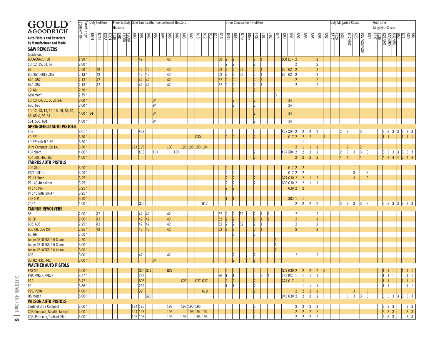| GOUI<br>$\Box$                         |                                |             | <b>Duty Holsters</b> |                            |     |                 |     |                    |         |     |     |     | Phoenix Duty Gold Line Leather Concealment Holsters |                 |             |             |                   |     |                      |                | Other Concealment Holsters |                |    |                            |     |         |                        |                            |                      |                      |            |                    |                     | Duty Magazine Cases |             |     |              | Gold Line                                           |                                                                                    |    |         |                                                                    |  |
|----------------------------------------|--------------------------------|-------------|----------------------|----------------------------|-----|-----------------|-----|--------------------|---------|-----|-----|-----|-----------------------------------------------------|-----------------|-------------|-------------|-------------------|-----|----------------------|----------------|----------------------------|----------------|----|----------------------------|-----|---------|------------------------|----------------------------|----------------------|----------------------|------------|--------------------|---------------------|---------------------|-------------|-----|--------------|-----------------------------------------------------|------------------------------------------------------------------------------------|----|---------|--------------------------------------------------------------------|--|
|                                        | Barrel Length<br>(approximate) |             |                      |                            |     | <b>Holsters</b> |     |                    |         |     |     |     |                                                     |                 |             |             |                   |     |                      |                |                            |                |    |                            |     |         |                        |                            |                      |                      |            |                    |                     |                     |             |     |              |                                                     | <b>Magazine Cases</b>                                                              |    |         |                                                                    |  |
| &GOODRICH                              |                                |             |                      |                            |     |                 |     |                    |         |     |     |     |                                                     |                 |             |             |                   |     |                      |                |                            |                |    |                            |     |         |                        |                            |                      |                      |            |                    |                     |                     |             |     |              |                                                     |                                                                                    |    |         |                                                                    |  |
| <b>Auto-Pistols and Revolvers</b>      |                                | <b>B501</b> | 9178                 | $\overline{\frac{88}{28}}$ | 391 |                 | 008 | $\frac{108}{2}$    | 802     | ခြိ | 904 | 908 | $\sqrt{18}$<br>808                                  | 608             | 018         | $\sqrt{31}$ | $\frac{814}{213}$ | 918 | 9178                 | 919            | <b>B733</b><br>888         | <b>T27</b>     |    | $\overline{\omega}$<br>701 | b18 | 890     | <b>F68</b>             | $\frac{893}{892}$          | 995                  | 968                  | <b>J68</b> | $\frac{1}{8}$<br>జ | Lt9/ <sub>L19</sub> | 979                 | 627/628/629 | 030 | 3 명의<br>이 문화 |                                                     | $\frac{831/851}{830/850}$                                                          |    |         | $\frac{88}{85}$                                                    |  |
| by Manufacturer and Model              |                                |             |                      |                            |     |                 |     |                    |         |     |     |     |                                                     |                 |             |             |                   |     |                      |                |                            |                |    |                            |     |         |                        |                            |                      |                      |            |                    |                     |                     |             |     |              |                                                     |                                                                                    |    |         |                                                                    |  |
| <b>S&amp;W REVOLVERS</b>               |                                |             |                      |                            |     |                 |     |                    |         |     |     |     |                                                     |                 |             |             |                   |     |                      |                |                            |                |    |                            |     |         |                        |                            |                      |                      |            |                    |                     |                     |             |     |              |                                                     |                                                                                    |    |         |                                                                    |  |
| (continued)                            |                                |             |                      |                            |     |                 |     |                    |         |     |     |     |                                                     |                 |             |             |                   |     |                      |                |                            |                |    |                            |     |         |                        |                            |                      |                      |            |                    |                     |                     |             |     |              |                                                     |                                                                                    |    |         |                                                                    |  |
| <b>BODYGUARD.38</b>                    | 1,90'                          |             |                      |                            |     |                 |     | 42                 |         |     |     | 42  |                                                     |                 |             |             |                   | 38  | 2                    | 2              |                            | 2              |    |                            |     |         | LCR LCR 2              |                            |                      | 12                   |            |                    |                     |                     |             |     |              |                                                     |                                                                                    |    |         |                                                                    |  |
| 10, 12, 15, 64, 67                     | 2.00                           |             |                      |                            |     |                 |     |                    |         |     |     |     |                                                     |                 |             |             |                   |     |                      | $ 2\rangle$    |                            | 2              |    |                            |     |         | l9                     |                            |                      | 2                    |            |                    |                     |                     |             |     |              |                                                     |                                                                                    |    |         |                                                                    |  |
| 63                                     | $2.00^{\circ}$                 |             | 42                   |                            |     |                 |     | 42                 | 42      |     |     | 42  |                                                     |                 |             |             |                   | 62  | 2                    | 2              | 62                         | 2              |    |                            |     | 62      | 62                     |                            |                      |                      |            |                    |                     |                     |             |     |              |                                                     |                                                                                    |    |         |                                                                    |  |
| 60.357, 60LS.357                       | 2.13'                          |             | 42                   |                            |     |                 |     | 42                 | 42      |     |     | 42  |                                                     |                 |             |             |                   | 62  | $\overline{2}$       | 2              | 62                         | $\overline{2}$ |    |                            |     | 62      | 62                     |                            |                      | l2                   |            |                    |                     |                     |             |     |              |                                                     |                                                                                    |    |         |                                                                    |  |
| 640.357                                | 2.13'                          |             | 42                   |                            |     |                 |     | 42                 | 42      |     |     | 42  |                                                     |                 |             |             |                   | 62  | $\overline{2}$       | 2              |                            | 2              |    |                            |     |         |                        |                            |                      |                      |            |                    |                     |                     |             |     |              |                                                     |                                                                                    |    |         |                                                                    |  |
| 649.357                                | 2.13'                          |             | 42                   |                            |     |                 |     | 42                 | 42      |     |     | 42  |                                                     |                 |             |             |                   | 62  | $\overline{2}$       | 2              |                            | $\overline{2}$ |    |                            |     |         | l9                     |                            |                      | 2                    |            |                    |                     |                     |             |     |              |                                                     |                                                                                    |    |         |                                                                    |  |
| 19,66                                  | 2.50                           |             |                      |                            |     |                 |     |                    |         |     |     |     |                                                     |                 |             |             |                   |     |                      | 2              |                            | 12             |    |                            |     |         |                        |                            |                      |                      |            |                    |                     |                     |             |     |              |                                                     |                                                                                    |    |         |                                                                    |  |
| Governor®                              | 2.75                           |             |                      |                            |     |                 |     |                    |         |     |     |     |                                                     |                 |             |             |                   |     |                      |                |                            |                |    |                            |     |         |                        |                            |                      |                      |            |                    |                     |                     |             |     |              |                                                     |                                                                                    |    |         |                                                                    |  |
| 10, 13, 64, 65, 65LS, 547              | 3.00                           |             |                      |                            |     |                 |     |                    |         | 34  |     |     |                                                     |                 |             |             |                   |     |                      | 12             |                            | 12             |    |                            |     |         | 34                     |                            |                      |                      |            |                    |                     |                     |             |     |              |                                                     |                                                                                    |    |         |                                                                    |  |
| 686, 696                               | 3.00                           |             |                      |                            |     |                 |     |                    |         | 94  |     |     |                                                     |                 |             |             |                   |     |                      |                |                            | Iŋ             |    |                            |     |         | 34                     |                            |                      |                      |            |                    |                     |                     |             |     |              |                                                     |                                                                                    |    |         |                                                                    |  |
| 10, 12, 13, 14, 15, 18, 19, 48, 64,    |                                |             |                      |                            |     |                 |     |                    |         |     |     |     |                                                     |                 |             |             |                   |     |                      |                |                            |                |    |                            |     |         |                        |                            |                      |                      |            |                    |                     |                     |             |     |              |                                                     |                                                                                    |    |         |                                                                    |  |
| 65, 65LS, 66, 67                       | 4.00 <sup>u</sup>              | 34          |                      |                            |     |                 |     |                    |         | 34  |     |     |                                                     |                 |             |             |                   |     |                      |                |                            |                |    |                            |     |         | 34                     |                            |                      |                      |            |                    |                     |                     |             |     |              |                                                     |                                                                                    |    |         |                                                                    |  |
|                                        |                                |             |                      |                            |     |                 |     |                    |         | 94  |     |     |                                                     |                 |             |             |                   |     |                      |                |                            |                |    |                            |     |         |                        |                            |                      |                      |            |                    |                     |                     |             |     |              |                                                     |                                                                                    |    |         |                                                                    |  |
| 581, 586, 681                          | 4.00                           |             |                      |                            |     |                 |     |                    |         |     |     |     |                                                     |                 |             |             |                   |     |                      |                |                            |                |    |                            |     |         | 34                     |                            |                      |                      |            |                    |                     |                     |             |     |              |                                                     |                                                                                    |    |         |                                                                    |  |
| <b>SPRINGFIELD AUTO PISTOLS</b><br>XD3 |                                |             |                      |                            |     |                 |     |                    |         |     |     |     |                                                     |                 |             |             |                   |     |                      |                |                            | 12             |    |                            |     |         |                        |                            |                      |                      |            |                    | 13                  |                     | l3          |     |              |                                                     |                                                                                    |    |         |                                                                    |  |
|                                        | 3.01                           |             |                      |                            |     |                 |     | XD3                |         |     |     |     |                                                     |                 |             |             |                   |     |                      |                |                            |                |    |                            |     |         | XD3 XD4 2              | 2 <br>$\vert$ <sub>2</sub> | 2<br>$\overline{2}$  |                      |            |                    |                     |                     |             |     |              | 3<br>$\vert_1$                                      | 3<br>3                                                                             | 13 | 3<br> 3 | $\frac{3}{1}$                                                      |  |
| XD-S™                                  | 3.30                           |             |                      |                            |     |                 |     |                    |         |     |     |     |                                                     |                 | G30         |             |                   |     |                      |                |                            |                |    |                            |     |         | G17<br>12              |                            |                      |                      | 3          |                    |                     |                     |             |     |              |                                                     |                                                                                    |    |         |                                                                    |  |
| XD-S™ with TLR-3®                      | 3.30                           |             |                      |                            |     |                 |     |                    |         |     |     |     |                                                     |                 |             |             |                   |     |                      |                |                            |                |    |                            |     |         |                        | l1                         |                      |                      |            |                    |                     |                     |             |     |              |                                                     |                                                                                    |    |         |                                                                    |  |
| <b>Ultra Compact 1911A1</b>            | 3.50                           |             |                      |                            |     |                 |     | 194 195            |         |     |     | 193 |                                                     | 193 195 193 194 |             |             |                   |     |                      |                |                            |                |    |                            |     |         |                        | 1                          |                      |                      |            |                    | 12                  |                     | 2           |     |              |                                                     |                                                                                    |    |         |                                                                    |  |
| XD4 9mm.                               | 4.00                           |             |                      |                            |     |                 |     | XD3                |         | XD4 |     |     | XD4                                                 |                 |             |             |                   |     |                      |                |                            |                |    |                            |     | XD4 XD4 | 2 <br>١o               | 2 <br>$\mathsf{b}$         | $ 2\rangle$          |                      |            |                    | 3                   |                     | 3           |     |              | 13                                                  | 13                                                                                 |    | 13      | 3                                                                  |  |
| XD4.40, .45, .357                      | 4.00                           |             |                      |                            |     |                 |     |                    |         |     |     |     |                                                     |                 |             |             |                   |     |                      |                |                            |                |    |                            |     |         |                        |                            | ١C                   |                      |            |                    |                     |                     |             |     |              |                                                     |                                                                                    |    |         |                                                                    |  |
| <b>TAURUS AUTO PISTOLS</b>             |                                |             |                      |                            |     |                 |     |                    |         |     |     |     |                                                     |                 |             |             |                   |     |                      |                |                            |                |    |                            |     |         |                        |                            |                      |                      |            |                    |                     |                     |             |     |              |                                                     |                                                                                    |    |         |                                                                    |  |
| 709 Slim                               | $3.20^{\circ}$                 |             |                      |                            |     |                 |     |                    |         |     |     |     |                                                     |                 |             |             |                   |     |                      |                |                            |                |    |                            |     |         | G17 2                  | $ 2\rangle$                |                      |                      |            |                    |                     |                     |             |     |              |                                                     |                                                                                    |    |         |                                                                    |  |
| PT740 SI1im                            | 3.20                           |             |                      |                            |     |                 |     |                    |         |     |     |     |                                                     |                 |             |             |                   |     | 2                    | 12             |                            |                |    |                            |     |         | G17 2                  | 2                          |                      |                      |            |                    |                     | 3                   |             | 3   |              |                                                     |                                                                                    |    |         |                                                                    |  |
| PT111 9mm.                             | 3.25                           |             |                      |                            |     |                 |     |                    |         |     |     |     |                                                     |                 |             |             |                   |     | 2                    | 2              |                            |                |    |                            |     |         | $G27G30$ <sub>2</sub>  | $\vert$ <sub>2</sub>       |                      |                      |            |                    |                     | $\overline{3}$      |             | 3   |              |                                                     |                                                                                    |    |         |                                                                    |  |
| PT 140 40 caliber                      | 3.25                           |             |                      |                            |     |                 |     |                    |         |     |     |     |                                                     |                 |             |             |                   |     | l2                   | $\overline{2}$ |                            | 12             |    |                            |     |         | G30 G30 2              | 2                          |                      |                      |            |                    |                     |                     |             |     |              |                                                     |                                                                                    |    |         |                                                                    |  |
| <b>PT 145 Pro</b>                      | 3.25                           |             |                      |                            |     |                 |     |                    |         |     |     |     |                                                     |                 |             |             |                   |     |                      | $\overline{2}$ |                            |                |    |                            |     |         | G30 2                  | 2                          |                      |                      |            |                    |                     |                     |             |     |              |                                                     |                                                                                    |    |         |                                                                    |  |
| PT 145 with TLR-3 <sup>®</sup>         | 3.25                           |             |                      |                            |     |                 |     |                    |         |     |     |     |                                                     |                 |             |             |                   |     |                      |                |                            |                |    |                            |     |         |                        |                            |                      |                      |            |                    |                     |                     |             |     |              |                                                     |                                                                                    |    |         |                                                                    |  |
| <b>738 TCP</b>                         | 3.30                           |             |                      |                            |     |                 |     |                    |         |     |     |     |                                                     |                 |             |             |                   |     |                      |                |                            |                |    |                            |     |         | 380 1                  | 1                          |                      |                      |            |                    |                     |                     |             |     |              |                                                     |                                                                                    |    |         |                                                                    |  |
| 24/7                                   | 4.00                           |             |                      |                            |     |                 |     | G20                |         |     |     |     |                                                     |                 |             | G17         |                   |     |                      |                |                            |                |    |                            |     |         | l2                     | 2                          | 2                    |                      |            |                    |                     |                     | l3          |     |              |                                                     |                                                                                    |    |         |                                                                    |  |
| <b>TAURUS REVOLVERS</b>                |                                |             |                      |                            |     |                 |     |                    |         |     |     |     |                                                     |                 |             |             |                   |     |                      |                |                            |                |    |                            |     |         |                        |                            |                      |                      |            |                    |                     |                     |             |     |              |                                                     |                                                                                    |    |         |                                                                    |  |
| 85                                     | $2.00^{\circ}$                 |             | 42                   |                            |     |                 |     | 42                 | 42      |     |     | 42  |                                                     |                 |             |             |                   | 62  | l2                   | 2              | 62                         | 2              |    |                            |     |         |                        |                            |                      |                      |            |                    |                     |                     |             |     |              |                                                     |                                                                                    |    |         |                                                                    |  |
| <b>85 CH</b>                           | $2.00^{\circ}$                 |             | 42                   |                            |     |                 |     | 42                 | 42      |     |     | 42  |                                                     |                 |             |             |                   | 62  | $\overline{2}$       | 2              |                            | 2              |    | 1                          |     |         | $\vert$ 2              |                            |                      | 2                    |            |                    |                     |                     |             |     |              |                                                     |                                                                                    |    |         |                                                                    |  |
| 605,606                                | 2.25                           |             | 42                   |                            |     |                 |     | 42                 | 42      |     |     | 42  |                                                     |                 |             |             |                   | 62  | $\overline{2}$       | 2              | 62                         | $\vert$ 2      |    |                            |     |         | $\overline{2}$         |                            |                      |                      |            |                    |                     |                     |             |     |              |                                                     |                                                                                    |    |         |                                                                    |  |
| 605 CH, 606 CH                         | 2.25                           |             | 42                   |                            |     |                 |     | 42                 | 42      |     |     | 42  |                                                     |                 |             |             |                   | 62  | $\overline{2}$       | 2              |                            | 2              |    |                            |     |         | ١d                     |                            |                      |                      |            |                    |                     |                     |             |     |              |                                                     |                                                                                    |    |         |                                                                    |  |
| 65,66                                  | 2.50                           |             |                      |                            |     |                 |     |                    |         |     |     |     |                                                     |                 |             |             |                   |     |                      | 12             |                            | l2             |    |                            |     |         |                        |                            |                      |                      |            |                    |                     |                     |             |     |              |                                                     |                                                                                    |    |         |                                                                    |  |
| Judge 4510 TKR 2.5 Cham.               | 2.50                           |             |                      |                            |     |                 |     |                    |         |     |     |     |                                                     |                 |             |             |                   |     |                      |                |                            |                |    |                            |     |         |                        |                            |                      |                      |            |                    |                     |                     |             |     |              |                                                     |                                                                                    |    |         |                                                                    |  |
| Judge 4510 TKR 2.5 Cham.               | 3.00 <sub>°</sub>              |             |                      |                            |     |                 |     |                    |         |     |     |     |                                                     |                 |             |             |                   |     |                      |                |                            |                |    |                            |     |         |                        |                            |                      |                      |            |                    |                     |                     |             |     |              |                                                     |                                                                                    |    |         |                                                                    |  |
| Judge 4510 TKR 3.0 Cham.               | $3.00^{\circ}$                 |             |                      |                            |     |                 |     |                    |         |     |     |     |                                                     |                 |             |             |                   |     |                      |                |                            |                |    |                            |     |         |                        |                            |                      |                      |            |                    |                     |                     |             |     |              |                                                     |                                                                                    |    |         |                                                                    |  |
| 605                                    | 3.00 <sub>1</sub>              |             |                      |                            |     |                 |     | 42                 |         |     |     | 42  |                                                     |                 |             |             |                   |     |                      |                |                            |                |    |                            |     |         |                        |                            |                      |                      |            |                    |                     |                     |             |     |              |                                                     |                                                                                    |    |         |                                                                    |  |
| 80, 82, 431, 441                       | $3.00^{\circ}$                 |             |                      |                            |     |                 |     |                    |         | 34  |     |     |                                                     |                 |             |             |                   |     |                      |                |                            |                |    |                            |     |         |                        |                            |                      |                      |            |                    |                     |                     |             |     |              |                                                     |                                                                                    |    |         |                                                                    |  |
| <b>WALTHER AUTO PISTOLS</b>            |                                |             |                      |                            |     |                 |     |                    |         |     |     |     |                                                     |                 |             |             |                   |     |                      |                |                            |                |    |                            |     |         |                        |                            |                      |                      |            |                    |                     |                     |             |     |              |                                                     |                                                                                    |    |         |                                                                    |  |
| PPS M2                                 | 3.00 <sup>4</sup>              |             |                      |                            |     |                 |     |                    | G20 G27 |     |     | G27 |                                                     |                 |             |             |                   |     |                      | $\overline{2}$ |                            |                |    |                            |     |         | G27G302                | 2                          | 12                   |                      | 3          |                    |                     |                     |             |     |              |                                                     |                                                                                    |    |         |                                                                    |  |
| PPK, PPK/E, PPK/S                      | $3.27$ "                       |             |                      |                            |     |                 |     | 232                |         |     |     |     |                                                     |                 |             |             |                   | 86  |                      |                |                            | $\vert$ 2      | 13 |                            |     |         | 232 P32 1<br>G27 G17 1 | $ 1\rangle$                |                      |                      |            |                    |                     |                     |             |     |              | $\begin{array}{c c} 1 \\ \hline 1 \\ 1 \end{array}$ | $\begin{array}{c} 1 \\ 1 \end{array}$                                              |    |         | $\begin{array}{c cc} 1 & 1 \\ 1 & 1 \\ 1 & 1 \\ 1 & 1 \end{array}$ |  |
| P22                                    | 3.42                           |             |                      |                            |     |                 |     | 696                |         |     |     |     | G27                                                 |                 |             | $G27$ $G27$ |                   |     | $\vert$ <sub>2</sub> | 2              |                            | 2              |    |                            |     |         |                        | 1                          |                      |                      |            |                    |                     |                     |             |     |              |                                                     | $\vert$ 1                                                                          |    | 1       |                                                                    |  |
| PP                                     | 3.86                           |             |                      |                            |     |                 |     | 232                |         |     |     |     |                                                     |                 |             |             |                   |     |                      |                |                            | 2              |    |                            |     |         |                        |                            |                      |                      |            |                    |                     |                     |             |     |              |                                                     | $\vert$ 1<br>1                                                                     |    |         |                                                                    |  |
| P99, P990                              | 4.00 <sup>o</sup>              |             |                      |                            |     |                 |     | 92F                |         |     |     |     |                                                     |                 |             | G19         |                   |     |                      |                |                            | 2              |    |                            |     |         | 12                     | 2                          | 2                    | $ 2\rangle$          |            |                    |                     | 3                   |             | 13  |              |                                                     |                                                                                    |    |         |                                                                    |  |
| Q5 Match                               | $5.00^{\circ}$                 |             |                      |                            |     |                 |     |                    | G20     |     |     |     |                                                     |                 |             |             |                   |     |                      |                |                            |                |    |                            |     |         | U40 G30 2              | 2                          | $\vert$ 2            | 2                    |            |                    | 3                   | l3                  | 3           | 3   |              | 3                                                   | 3<br>13                                                                            |    | 3       | 3 3                                                                |  |
| <b>WILSON AUTO PISTOLS</b>             |                                |             |                      |                            |     |                 |     |                    |         |     |     |     |                                                     |                 |             |             |                   |     |                      |                |                            |                |    |                            |     |         |                        |                            |                      |                      |            |                    |                     |                     |             |     |              |                                                     |                                                                                    |    |         |                                                                    |  |
| Sentinel Ultra Compact                 | 3.60 <sup>4</sup>              |             |                      |                            |     |                 |     | 194 195<br>194 195 |         |     |     | 193 |                                                     | 193 195 193     |             |             |                   |     |                      |                |                            | 2              |    |                            |     |         | 2                      | $\frac{2}{2}$              | 2                    | $\overline{2}$       |            |                    |                     |                     |             |     |              |                                                     | $\begin{array}{ c c c }\n \hline\n 3 & 3 & 3 \\  \hline\n 3 & 3 & 3\n \end{array}$ |    |         | $\begin{array}{c c}\n3 & 3 \\ 3 & 3 \\ 3 & 3\n\end{array}$         |  |
| <b>CQB Compact, Stealth, Tactical</b>  | 4.00 <sup>u</sup>              |             |                      |                            |     |                 |     |                    |         |     |     | 195 |                                                     |                 | 195 194 194 |             |                   |     |                      |                |                            | $ 2\rangle$    |    |                            |     |         | $\vert$ <sub>2</sub>   |                            | $\vert$ <sub>2</sub> | $\vert$ <sub>2</sub> |            |                    |                     |                     |             |     |              |                                                     |                                                                                    |    |         |                                                                    |  |
| CQB, Protector, Tactical, Elite        | 5.00 <sup>4</sup>              |             |                      |                            |     |                 |     | 195 195            |         |     |     | 195 | 195                                                 |                 |             | 195 195     |                   |     |                      |                |                            |                |    |                            |     |         |                        | l٥                         |                      |                      |            |                    |                     |                     |             |     |              | $ _3$                                               |                                                                                    |    |         |                                                                    |  |